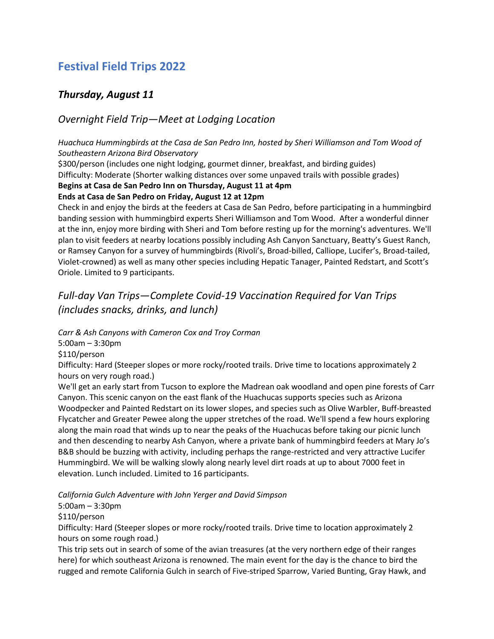# **Festival Field Trips 2022**

## *Thursday, August 11*

## *Overnight Field Trip—Meet at Lodging Location*

## *Huachuca Hummingbirds at the Casa de San Pedro Inn, hosted by Sheri Williamson and Tom Wood of Southeastern Arizona Bird Observatory*

\$300/person (includes one night lodging, gourmet dinner, breakfast, and birding guides)

Difficulty: Moderate (Shorter walking distances over some unpaved trails with possible grades)

### **Begins at Casa de San Pedro Inn on Thursday, August 11 at 4pm**

### **Ends at Casa de San Pedro on Friday, August 12 at 12pm**

Check in and enjoy the birds at the feeders at Casa de San Pedro, before participating in a hummingbird banding session with hummingbird experts Sheri Williamson and Tom Wood. After a wonderful dinner at the inn, enjoy more birding with Sheri and Tom before resting up for the morning's adventures. We'll plan to visit feeders at nearby locations possibly including Ash Canyon Sanctuary, Beatty's Guest Ranch, or Ramsey Canyon for a survey of hummingbirds (Rivoli's, Broad-billed, Calliope, Lucifer's, Broad-tailed, Violet-crowned) as well as many other species including Hepatic Tanager, Painted Redstart, and Scott's Oriole. Limited to 9 participants.

# *Full-day Van Trips—Complete Covid-19 Vaccination Required for Van Trips (includes snacks, drinks, and lunch)*

*Carr & Ash Canyons with Cameron Cox and Troy Corman*

5:00am – 3:30pm

\$110/person

Difficulty: Hard (Steeper slopes or more rocky/rooted trails. Drive time to locations approximately 2 hours on very rough road.)

We'll get an early start from Tucson to explore the Madrean oak woodland and open pine forests of Carr Canyon. This scenic canyon on the east flank of the Huachucas supports species such as Arizona Woodpecker and Painted Redstart on its lower slopes, and species such as Olive Warbler, Buff-breasted Flycatcher and Greater Pewee along the upper stretches of the road. We'll spend a few hours exploring along the main road that winds up to near the peaks of the Huachucas before taking our picnic lunch and then descending to nearby Ash Canyon, where a private bank of hummingbird feeders at Mary Jo's B&B should be buzzing with activity, including perhaps the range-restricted and very attractive Lucifer Hummingbird. We will be walking slowly along nearly level dirt roads at up to about 7000 feet in elevation. Lunch included. Limited to 16 participants.

*California Gulch Adventure with John Yerger and David Simpson*

5:00am – 3:30pm

\$110/person

Difficulty: Hard (Steeper slopes or more rocky/rooted trails. Drive time to location approximately 2 hours on some rough road.)

This trip sets out in search of some of the avian treasures (at the very northern edge of their ranges here) for which southeast Arizona is renowned. The main event for the day is the chance to bird the rugged and remote California Gulch in search of Five-striped Sparrow, Varied Bunting, Gray Hawk, and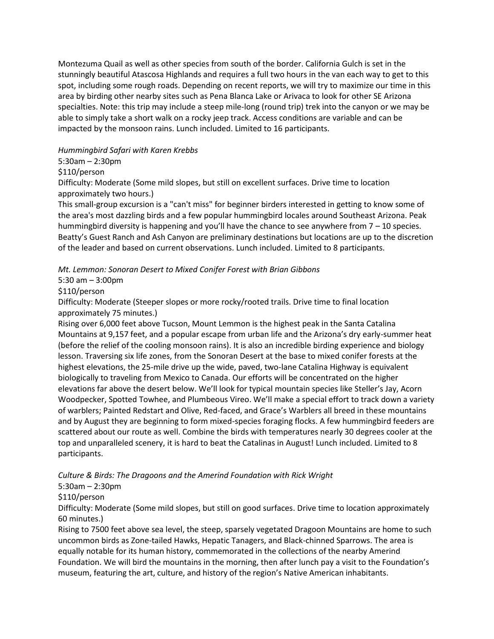Montezuma Quail as well as other species from south of the border. California Gulch is set in the stunningly beautiful Atascosa Highlands and requires a full two hours in the van each way to get to this spot, including some rough roads. Depending on recent reports, we will try to maximize our time in this area by birding other nearby sites such as Pena Blanca Lake or Arivaca to look for other SE Arizona specialties. Note: this trip may include a steep mile-long (round trip) trek into the canyon or we may be able to simply take a short walk on a rocky jeep track. Access conditions are variable and can be impacted by the monsoon rains. Lunch included. Limited to 16 participants.

### *Hummingbird Safari with Karen Krebbs*

5:30am – 2:30pm

\$110/person

Difficulty: Moderate (Some mild slopes, but still on excellent surfaces. Drive time to location approximately two hours.)

This small-group excursion is a "can't miss" for beginner birders interested in getting to know some of the area's most dazzling birds and a few popular hummingbird locales around Southeast Arizona. Peak hummingbird diversity is happening and you'll have the chance to see anywhere from 7 – 10 species. Beatty's Guest Ranch and Ash Canyon are preliminary destinations but locations are up to the discretion of the leader and based on current observations. Lunch included. Limited to 8 participants.

*Mt. Lemmon: Sonoran Desert to Mixed Conifer Forest with Brian Gibbons*

5:30 am – 3:00pm

\$110/person

Difficulty: Moderate (Steeper slopes or more rocky/rooted trails. Drive time to final location approximately 75 minutes.)

Rising over 6,000 feet above Tucson, Mount Lemmon is the highest peak in the Santa Catalina Mountains at 9,157 feet, and a popular escape from urban life and the Arizona's dry early-summer heat (before the relief of the cooling monsoon rains). It is also an incredible birding experience and biology lesson. Traversing six life zones, from the Sonoran Desert at the base to mixed conifer forests at the highest elevations, the 25-mile drive up the wide, paved, two-lane Catalina Highway is equivalent biologically to traveling from Mexico to Canada. Our efforts will be concentrated on the higher elevations far above the desert below. We'll look for typical mountain species like Steller's Jay, Acorn Woodpecker, Spotted Towhee, and Plumbeous Vireo. We'll make a special effort to track down a variety of warblers; Painted Redstart and Olive, Red-faced, and Grace's Warblers all breed in these mountains and by August they are beginning to form mixed-species foraging flocks. A few hummingbird feeders are scattered about our route as well. Combine the birds with temperatures nearly 30 degrees cooler at the top and unparalleled scenery, it is hard to beat the Catalinas in August! Lunch included. Limited to 8 participants.

### *Culture & Birds: The Dragoons and the Amerind Foundation with Rick Wright*

5:30am – 2:30pm

\$110/person

Difficulty: Moderate (Some mild slopes, but still on good surfaces. Drive time to location approximately 60 minutes.)

Rising to 7500 feet above sea level, the steep, sparsely vegetated Dragoon Mountains are home to such uncommon birds as Zone-tailed Hawks, Hepatic Tanagers, and Black-chinned Sparrows. The area is equally notable for its human history, commemorated in the collections of the nearby Amerind Foundation. We will bird the mountains in the morning, then after lunch pay a visit to the Foundation's museum, featuring the art, culture, and history of the region's Native American inhabitants.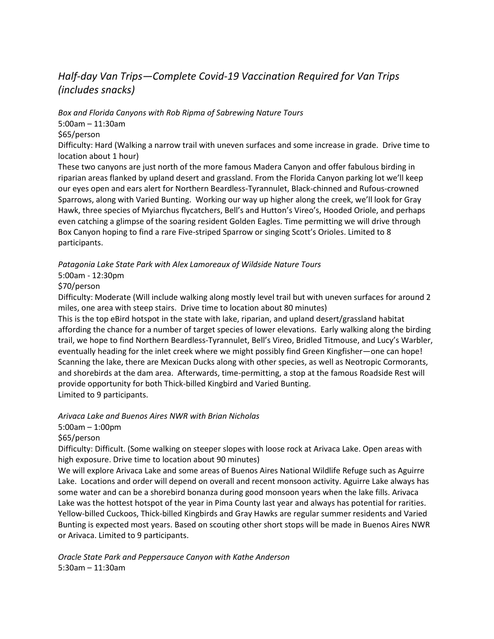# *Half-day Van Trips—Complete Covid-19 Vaccination Required for Van Trips (includes snacks)*

*Box and Florida Canyons with Rob Ripma of Sabrewing Nature Tours*

5:00am – 11:30am

\$65/person

Difficulty: Hard (Walking a narrow trail with uneven surfaces and some increase in grade. Drive time to location about 1 hour)

These two canyons are just north of the more famous Madera Canyon and offer fabulous birding in riparian areas flanked by upland desert and grassland. From the Florida Canyon parking lot we'll keep our eyes open and ears alert for Northern Beardless-Tyrannulet, Black-chinned and Rufous-crowned Sparrows, along with Varied Bunting. Working our way up higher along the creek, we'll look for Gray Hawk, three species of Myiarchus flycatchers, Bell's and Hutton's Vireo's, Hooded Oriole, and perhaps even catching a glimpse of the soaring resident Golden Eagles. Time permitting we will drive through Box Canyon hoping to find a rare Five-striped Sparrow or singing Scott's Orioles. Limited to 8 participants.

*Patagonia Lake State Park with Alex Lamoreaux of Wildside Nature Tours*

5:00am - 12:30pm

\$70/person

Difficulty: Moderate (Will include walking along mostly level trail but with uneven surfaces for around 2 miles, one area with steep stairs. Drive time to location about 80 minutes)

This is the top eBird hotspot in the state with lake, riparian, and upland desert/grassland habitat affording the chance for a number of target species of lower elevations. Early walking along the birding trail, we hope to find Northern Beardless-Tyrannulet, Bell's Vireo, Bridled Titmouse, and Lucy's Warbler, eventually heading for the inlet creek where we might possibly find Green Kingfisher—one can hope! Scanning the lake, there are Mexican Ducks along with other species, as well as Neotropic Cormorants, and shorebirds at the dam area. Afterwards, time-permitting, a stop at the famous Roadside Rest will provide opportunity for both Thick-billed Kingbird and Varied Bunting. Limited to 9 participants.

*Arivaca Lake and Buenos Aires NWR with Brian Nicholas*

5:00am – 1:00pm

\$65/person

Difficulty: Difficult. (Some walking on steeper slopes with loose rock at Arivaca Lake. Open areas with high exposure. Drive time to location about 90 minutes)

We will explore Arivaca Lake and some areas of Buenos Aires National Wildlife Refuge such as Aguirre Lake. Locations and order will depend on overall and recent monsoon activity. Aguirre Lake always has some water and can be a shorebird bonanza during good monsoon years when the lake fills. Arivaca Lake was the hottest hotspot of the year in Pima County last year and always has potential for rarities. Yellow-billed Cuckoos, Thick-billed Kingbirds and Gray Hawks are regular summer residents and Varied Bunting is expected most years. Based on scouting other short stops will be made in Buenos Aires NWR or Arivaca. Limited to 9 participants.

*Oracle State Park and Peppersauce Canyon with Kathe Anderson* 5:30am – 11:30am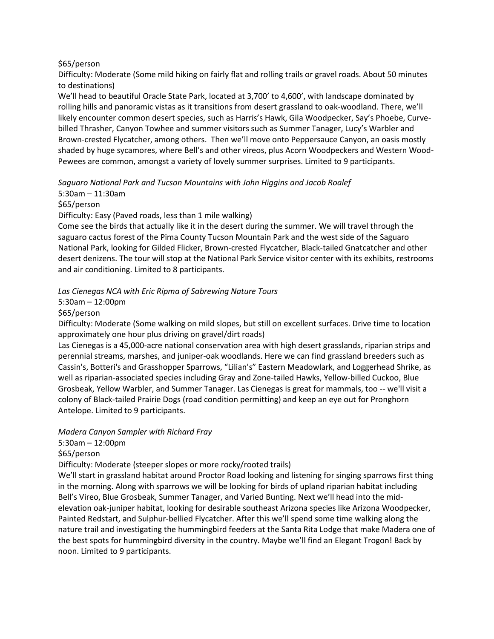### \$65/person

Difficulty: Moderate (Some mild hiking on fairly flat and rolling trails or gravel roads. About 50 minutes to destinations)

We'll head to beautiful Oracle State Park, located at 3,700' to 4,600', with landscape dominated by rolling hills and panoramic vistas as it transitions from desert grassland to oak-woodland. There, we'll likely encounter common desert species, such as Harris's Hawk, Gila Woodpecker, Say's Phoebe, Curvebilled Thrasher, Canyon Towhee and summer visitors such as Summer Tanager, Lucy's Warbler and Brown-crested Flycatcher, among others. Then we'll move onto Peppersauce Canyon, an oasis mostly shaded by huge sycamores, where Bell's and other vireos, plus Acorn Woodpeckers and Western Wood-Pewees are common, amongst a variety of lovely summer surprises. Limited to 9 participants.

*Saguaro National Park and Tucson Mountains with John Higgins and Jacob Roalef*

5:30am – 11:30am

\$65/person

Difficulty: Easy (Paved roads, less than 1 mile walking)

Come see the birds that actually like it in the desert during the summer. We will travel through the saguaro cactus forest of the Pima County Tucson Mountain Park and the west side of the Saguaro National Park, looking for Gilded Flicker, Brown-crested Flycatcher, Black-tailed Gnatcatcher and other desert denizens. The tour will stop at the National Park Service visitor center with its exhibits, restrooms and air conditioning. Limited to 8 participants.

*Las Cienegas NCA with Eric Ripma of Sabrewing Nature Tours*

5:30am – 12:00pm

\$65/person

Difficulty: Moderate (Some walking on mild slopes, but still on excellent surfaces. Drive time to location approximately one hour plus driving on gravel/dirt roads)

Las Cienegas is a 45,000-acre national conservation area with high desert grasslands, riparian strips and perennial streams, marshes, and juniper-oak woodlands. Here we can find grassland breeders such as Cassin's, Botteri's and Grasshopper Sparrows, "Lilian's" Eastern Meadowlark, and Loggerhead Shrike, as well as riparian-associated species including Gray and Zone-tailed Hawks, Yellow-billed Cuckoo, Blue Grosbeak, Yellow Warbler, and Summer Tanager. Las Cienegas is great for mammals, too -- we'll visit a colony of Black-tailed Prairie Dogs (road condition permitting) and keep an eye out for Pronghorn Antelope. Limited to 9 participants.

*Madera Canyon Sampler with Richard Fray*

5:30am – 12:00pm

\$65/person

Difficulty: Moderate (steeper slopes or more rocky/rooted trails)

We'll start in grassland habitat around Proctor Road looking and listening for singing sparrows first thing in the morning. Along with sparrows we will be looking for birds of upland riparian habitat including Bell's Vireo, Blue Grosbeak, Summer Tanager, and Varied Bunting. Next we'll head into the midelevation oak-juniper habitat, looking for desirable southeast Arizona species like Arizona Woodpecker, Painted Redstart, and Sulphur-bellied Flycatcher. After this we'll spend some time walking along the nature trail and investigating the hummingbird feeders at the Santa Rita Lodge that make Madera one of the best spots for hummingbird diversity in the country. Maybe we'll find an Elegant Trogon! Back by noon. Limited to 9 participants.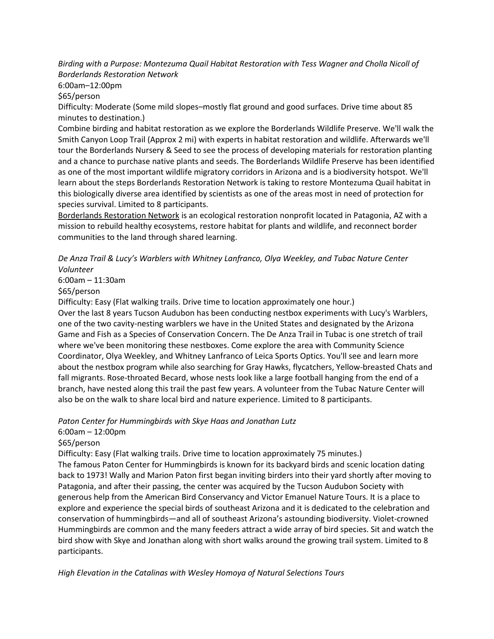*Birding with a Purpose: Montezuma Quail Habitat Restoration with Tess Wagner and Cholla Nicoll of Borderlands Restoration Network*

6:00am–12:00pm

\$65/person

Difficulty: Moderate (Some mild slopes–mostly flat ground and good surfaces. Drive time about 85 minutes to destination.)

Combine birding and habitat restoration as we explore the Borderlands Wildlife Preserve. We'll walk the Smith Canyon Loop Trail (Approx 2 mi) with experts in habitat restoration and wildlife. Afterwards we'll tour the Borderlands Nursery & Seed to see the process of developing materials for restoration planting and a chance to purchase native plants and seeds. The Borderlands Wildlife Preserve has been identified as one of the most important wildlife migratory corridors in Arizona and is a biodiversity hotspot. We'll learn about the steps Borderlands Restoration Network is taking to restore Montezuma Quail habitat in this biologically diverse area identified by scientists as one of the areas most in need of protection for species survival. Limited to 8 participants.

[Borderlands Restoration Network](https://www.borderlandsrestoration.org/) is an ecological restoration nonprofit located in Patagonia, AZ with a mission to rebuild healthy ecosystems, restore habitat for plants and wildlife, and reconnect border communities to the land through shared learning.

### *De Anza Trail & Lucy's Warblers with Whitney Lanfranco, Olya Weekley, and Tubac Nature Center Volunteer*

6:00am – 11:30am

\$65/person

Difficulty: Easy (Flat walking trails. Drive time to location approximately one hour.)

Over the last 8 years Tucson Audubon has been conducting nestbox experiments with Lucy's Warblers, one of the two cavity-nesting warblers we have in the United States and designated by the Arizona Game and Fish as a Species of Conservation Concern. The De Anza Trail in Tubac is one stretch of trail where we've been monitoring these nestboxes. Come explore the area with Community Science Coordinator, Olya Weekley, and Whitney Lanfranco of Leica Sports Optics. You'll see and learn more about the nestbox program while also searching for Gray Hawks, flycatchers, Yellow-breasted Chats and fall migrants. Rose-throated Becard, whose nests look like a large football hanging from the end of a branch, have nested along this trail the past few years. A volunteer from the Tubac Nature Center will also be on the walk to share local bird and nature experience. Limited to 8 participants.

*Paton Center for Hummingbirds with Skye Haas and Jonathan Lutz*

6:00am – 12:00pm

\$65/person

Difficulty: Easy (Flat walking trails. Drive time to location approximately 75 minutes.)

The famous Paton Center for Hummingbirds is known for its backyard birds and scenic location dating back to 1973! Wally and Marion Paton first began inviting birders into their yard shortly after moving to Patagonia, and after their passing, the center was acquired by the Tucson Audubon Society with generous help from the American Bird Conservancy and Victor Emanuel Nature Tours. It is a place to explore and experience the special birds of southeast Arizona and it is dedicated to the celebration and conservation of hummingbirds—and all of southeast Arizona's astounding biodiversity. Violet-crowned Hummingbirds are common and the many feeders attract a wide array of bird species. Sit and watch the bird show with Skye and Jonathan along with short walks around the growing trail system. Limited to 8 participants.

*High Elevation in the Catalinas with Wesley Homoya of Natural Selections Tours*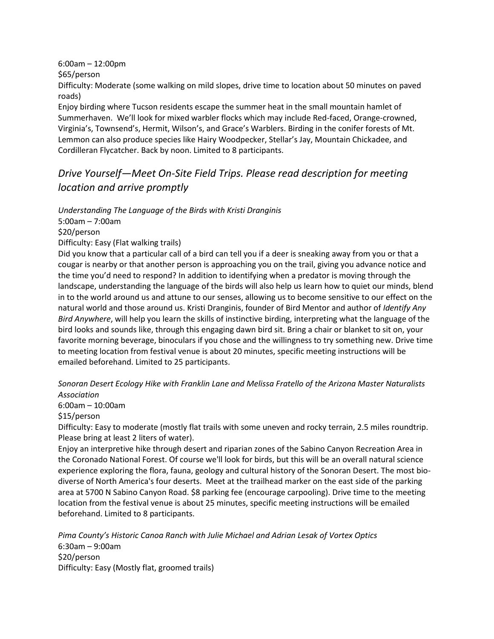6:00am – 12:00pm \$65/person

Difficulty: Moderate (some walking on mild slopes, drive time to location about 50 minutes on paved roads)

Enjoy birding where Tucson residents escape the summer heat in the small mountain hamlet of Summerhaven. We'll look for mixed warbler flocks which may include Red-faced, Orange-crowned, Virginia's, Townsend's, Hermit, Wilson's, and Grace's Warblers. Birding in the conifer forests of Mt. Lemmon can also produce species like Hairy Woodpecker, Stellar's Jay, Mountain Chickadee, and Cordilleran Flycatcher. Back by noon. Limited to 8 participants.

# *Drive Yourself—Meet On-Site Field Trips. Please read description for meeting location and arrive promptly*

*Understanding The Language of the Birds with Kristi Dranginis*

5:00am – 7:00am

\$20/person

Difficulty: Easy (Flat walking trails)

Did you know that a particular call of a bird can tell you if a deer is sneaking away from you or that a cougar is nearby or that another person is approaching you on the trail, giving you advance notice and the time you'd need to respond? In addition to identifying when a predator is moving through the landscape, understanding the language of the birds will also help us learn how to quiet our minds, blend in to the world around us and attune to our senses, allowing us to become sensitive to our effect on the natural world and those around us. Kristi Dranginis, founder of Bird Mentor and author of *Identify Any Bird Anywhere*, will help you learn the skills of instinctive birding, interpreting what the language of the bird looks and sounds like, through this engaging dawn bird sit. Bring a chair or blanket to sit on, your favorite morning beverage, binoculars if you chose and the willingness to try something new. Drive time to meeting location from festival venue is about 20 minutes, specific meeting instructions will be emailed beforehand. Limited to 25 participants.

*Sonoran Desert Ecology Hike with Franklin Lane and Melissa Fratello of the Arizona Master Naturalists Association*

6:00am – 10:00am

\$15/person

Difficulty: Easy to moderate (mostly flat trails with some uneven and rocky terrain, 2.5 miles roundtrip. Please bring at least 2 liters of water).

Enjoy an interpretive hike through desert and riparian zones of the Sabino Canyon Recreation Area in the Coronado National Forest. Of course we'll look for birds, but this will be an overall natural science experience exploring the flora, fauna, geology and cultural history of the Sonoran Desert. The most biodiverse of North America's four deserts. Meet at the trailhead marker on the east side of the parking area at 5700 N Sabino Canyon Road. \$8 parking fee (encourage carpooling). Drive time to the meeting location from the festival venue is about 25 minutes, specific meeting instructions will be emailed beforehand. Limited to 8 participants.

*Pima County's Historic Canoa Ranch with Julie Michael and Adrian Lesak of Vortex Optics* 6:30am – 9:00am \$20/person Difficulty: Easy (Mostly flat, groomed trails)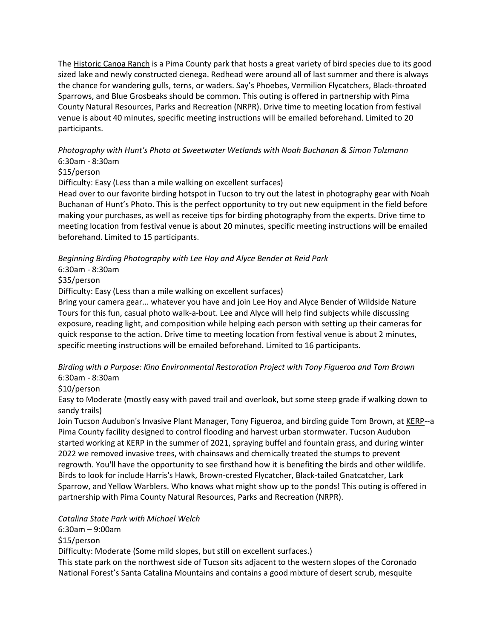The [Historic Canoa Ranch](https://webcms.pima.gov/cms/One.aspx?pageId=1507) is a Pima County park that hosts a great variety of bird species due to its good sized lake and newly constructed cienega. Redhead were around all of last summer and there is always the chance for wandering gulls, terns, or waders. Say's Phoebes, Vermilion Flycatchers, Black-throated Sparrows, and Blue Grosbeaks should be common. This outing is offered in partnership with Pima County Natural Resources, Parks and Recreation (NRPR). Drive time to meeting location from festival venue is about 40 minutes, specific meeting instructions will be emailed beforehand. Limited to 20 participants.

### *Photography with Hunt's Photo at Sweetwater Wetlands with Noah Buchanan & Simon Tolzmann* 6:30am - 8:30am

### \$15/person

Difficulty: Easy (Less than a mile walking on excellent surfaces)

Head over to our favorite birding hotspot in Tucson to try out the latest in photography gear with Noah Buchanan of Hunt's Photo. This is the perfect opportunity to try out new equipment in the field before making your purchases, as well as receive tips for birding photography from the experts. Drive time to meeting location from festival venue is about 20 minutes, specific meeting instructions will be emailed beforehand. Limited to 15 participants.

### *Beginning Birding Photography with Lee Hoy and Alyce Bender at Reid Park*

6:30am - 8:30am

\$35/person

Difficulty: Easy (Less than a mile walking on excellent surfaces)

Bring your camera gear... whatever you have and join Lee Hoy and Alyce Bender of Wildside Nature Tours for this fun, casual photo walk-a-bout. Lee and Alyce will help find subjects while discussing exposure, reading light, and composition while helping each person with setting up their cameras for quick response to the action. Drive time to meeting location from festival venue is about 2 minutes, specific meeting instructions will be emailed beforehand. Limited to 16 participants.

### *Birding with a Purpose: Kino Environmental Restoration Project with Tony Figueroa and Tom Brown* 6:30am - 8:30am

\$10/person

Easy to Moderate (mostly easy with paved trail and overlook, but some steep grade if walking down to sandy trails)

Join Tucson Audubon's Invasive Plant Manager, Tony Figueroa, and birding guide Tom Brown, at [KERP-](https://webcms.pima.gov/UserFiles/Servers/Server_6/File/Government/Flood%20Control/Projects/KERP/kerp-urban-oasis-booklet2021.pdf)-a Pima County facility designed to control flooding and harvest urban stormwater. Tucson Audubon started working at KERP in the summer of 2021, spraying buffel and fountain grass, and during winter 2022 we removed invasive trees, with chainsaws and chemically treated the stumps to prevent regrowth. You'll have the opportunity to see firsthand how it is benefiting the birds and other wildlife. Birds to look for include Harris's Hawk, Brown-crested Flycatcher, Black-tailed Gnatcatcher, Lark Sparrow, and Yellow Warblers. Who knows what might show up to the ponds! This outing is offered in partnership with Pima County Natural Resources, Parks and Recreation (NRPR).

*Catalina State Park with Michael Welch*

6:30am – 9:00am

\$15/person

Difficulty: Moderate (Some mild slopes, but still on excellent surfaces.)

This state park on the northwest side of Tucson sits adjacent to the western slopes of the Coronado National Forest's Santa Catalina Mountains and contains a good mixture of desert scrub, mesquite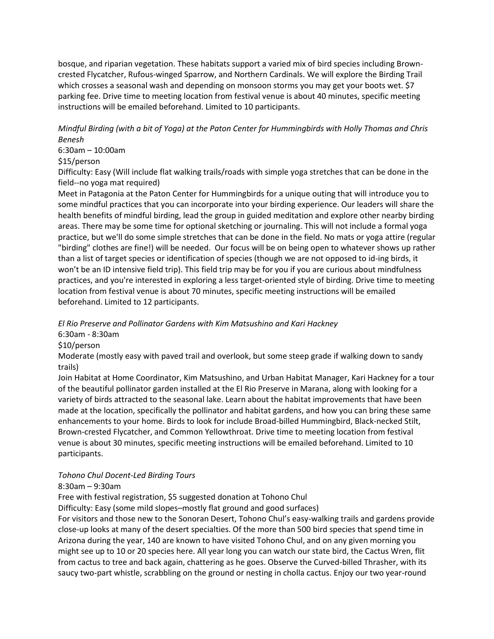bosque, and riparian vegetation. These habitats support a varied mix of bird species including Browncrested Flycatcher, Rufous-winged Sparrow, and Northern Cardinals. We will explore the Birding Trail which crosses a seasonal wash and depending on monsoon storms you may get your boots wet. \$7 parking fee. Drive time to meeting location from festival venue is about 40 minutes, specific meeting instructions will be emailed beforehand. Limited to 10 participants.

*Mindful Birding (with a bit of Yoga) at the Paton Center for Hummingbirds with Holly Thomas and Chris Benesh*

6:30am – 10:00am

\$15/person

Difficulty: Easy (Will include flat walking trails/roads with simple yoga stretches that can be done in the field--no yoga mat required)

Meet in Patagonia at the Paton Center for Hummingbirds for a unique outing that will introduce you to some mindful practices that you can incorporate into your birding experience. Our leaders will share the health benefits of mindful birding, lead the group in guided meditation and explore other nearby birding areas. There may be some time for optional sketching or journaling. This will not include a formal yoga practice, but we'll do some simple stretches that can be done in the field. No mats or yoga attire (regular "birding" clothes are fine!) will be needed. Our focus will be on being open to whatever shows up rather than a list of target species or identification of species (though we are not opposed to id-ing birds, it won't be an ID intensive field trip). This field trip may be for you if you are curious about mindfulness practices, and you're interested in exploring a less target-oriented style of birding. Drive time to meeting location from festival venue is about 70 minutes, specific meeting instructions will be emailed beforehand. Limited to 12 participants.

*El Rio Preserve and Pollinator Gardens with Kim Matsushino and Kari Hackney*

6:30am - 8:30am

\$10/person

Moderate (mostly easy with paved trail and overlook, but some steep grade if walking down to sandy trails)

Join Habitat at Home Coordinator, Kim Matsushino, and Urban Habitat Manager, Kari Hackney for a tour of the beautiful pollinator garden installed at the El Rio Preserve in Marana, along with looking for a variety of birds attracted to the seasonal lake. Learn about the habitat improvements that have been made at the location, specifically the pollinator and habitat gardens, and how you can bring these same enhancements to your home. Birds to look for include Broad-billed Hummingbird, Black-necked Stilt, Brown-crested Flycatcher, and Common Yellowthroat. Drive time to meeting location from festival venue is about 30 minutes, specific meeting instructions will be emailed beforehand. Limited to 10 participants.

### *Tohono Chul Docent-Led Birding Tours*

### 8:30am – 9:30am

Free with festival registration, \$5 suggested donation at Tohono Chul

Difficulty: Easy (some mild slopes–mostly flat ground and good surfaces)

For visitors and those new to the Sonoran Desert, Tohono Chul's easy-walking trails and gardens provide close-up looks at many of the desert specialties. Of the more than 500 bird species that spend time in Arizona during the year, 140 are known to have visited Tohono Chul, and on any given morning you might see up to 10 or 20 species here. All year long you can watch our state bird, the Cactus Wren, flit from cactus to tree and back again, chattering as he goes. Observe the Curved-billed Thrasher, with its saucy two-part whistle, scrabbling on the ground or nesting in cholla cactus. Enjoy our two year-round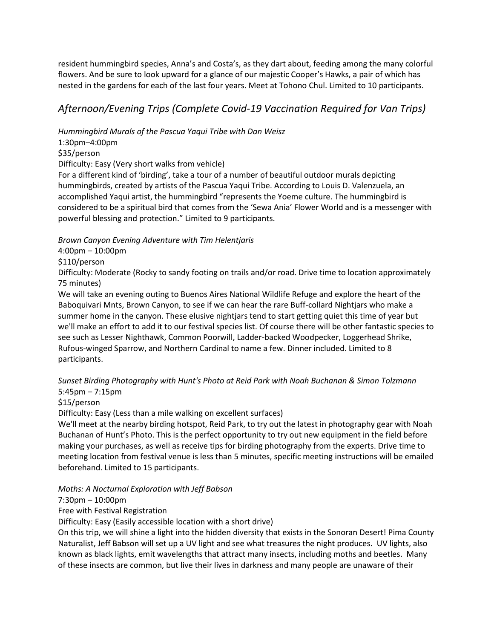resident hummingbird species, Anna's and Costa's, as they dart about, feeding among the many colorful flowers. And be sure to look upward for a glance of our majestic Cooper's Hawks, a pair of which has nested in the gardens for each of the last four years. Meet at Tohono Chul. Limited to 10 participants.

# *Afternoon/Evening Trips (Complete Covid-19 Vaccination Required for Van Trips)*

*Hummingbird Murals of the Pascua Yaqui Tribe with Dan Weisz*

1:30pm–4:00pm

\$35/person

Difficulty: Easy (Very short walks from vehicle)

For a different kind of 'birding', take a tour of a number of beautiful outdoor murals depicting hummingbirds, created by artists of the Pascua Yaqui Tribe. According to Louis D. Valenzuela, an accomplished Yaqui artist, the hummingbird "represents the Yoeme culture. The hummingbird is considered to be a spiritual bird that comes from the 'Sewa Ania' Flower World and is a messenger with powerful blessing and protection." Limited to 9 participants.

*Brown Canyon Evening Adventure with Tim Helentjaris*

4:00pm – 10:00pm

\$110/person

Difficulty: Moderate (Rocky to sandy footing on trails and/or road. Drive time to location approximately 75 minutes)

We will take an evening outing to Buenos Aires National Wildlife Refuge and explore the heart of the Baboquivari Mnts, Brown Canyon, to see if we can hear the rare Buff-collard Nightjars who make a summer home in the canyon. These elusive nightjars tend to start getting quiet this time of year but we'll make an effort to add it to our festival species list. Of course there will be other fantastic species to see such as Lesser Nighthawk, Common Poorwill, Ladder-backed Woodpecker, Loggerhead Shrike, Rufous-winged Sparrow, and Northern Cardinal to name a few. Dinner included. Limited to 8 participants.

*Sunset Birding Photography with Hunt's Photo at Reid Park with Noah Buchanan & Simon Tolzmann* 5:45pm – 7:15pm

\$15/person

Difficulty: Easy (Less than a mile walking on excellent surfaces)

We'll meet at the nearby birding hotspot, Reid Park, to try out the latest in photography gear with Noah Buchanan of Hunt's Photo. This is the perfect opportunity to try out new equipment in the field before making your purchases, as well as receive tips for birding photography from the experts. Drive time to meeting location from festival venue is less than 5 minutes, specific meeting instructions will be emailed beforehand. Limited to 15 participants.

*Moths: A Nocturnal Exploration with Jeff Babson*

### 7:30pm – 10:00pm

Free with Festival Registration

Difficulty: Easy (Easily accessible location with a short drive)

On this trip, we will shine a light into the hidden diversity that exists in the Sonoran Desert! Pima County Naturalist, Jeff Babson will set up a UV light and see what treasures the night produces. UV lights, also known as black lights, emit wavelengths that attract many insects, including moths and beetles. Many of these insects are common, but live their lives in darkness and many people are unaware of their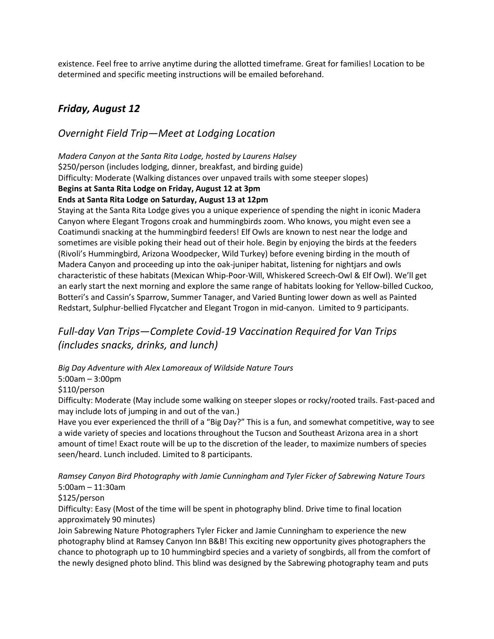existence. Feel free to arrive anytime during the allotted timeframe. Great for families! Location to be determined and specific meeting instructions will be emailed beforehand.

# *Friday, August 12*

## *Overnight Field Trip—Meet at Lodging Location*

*Madera Canyon at the Santa Rita Lodge, hosted by Laurens Halsey* \$250/person (includes lodging, dinner, breakfast, and birding guide) Difficulty: Moderate (Walking distances over unpaved trails with some steeper slopes) **Begins at Santa Rita Lodge on Friday, August 12 at 3pm Ends at Santa Rita Lodge on Saturday, August 13 at 12pm**

Staying at the Santa Rita Lodge gives you a unique experience of spending the night in iconic Madera Canyon where Elegant Trogons croak and hummingbirds zoom. Who knows, you might even see a Coatimundi snacking at the hummingbird feeders! Elf Owls are known to nest near the lodge and sometimes are visible poking their head out of their hole. Begin by enjoying the birds at the feeders (Rivoli's Hummingbird, Arizona Woodpecker, Wild Turkey) before evening birding in the mouth of Madera Canyon and proceeding up into the oak-juniper habitat, listening for nightjars and owls characteristic of these habitats (Mexican Whip-Poor-Will, Whiskered Screech-Owl & Elf Owl). We'll get an early start the next morning and explore the same range of habitats looking for Yellow-billed Cuckoo, Botteri's and Cassin's Sparrow, Summer Tanager, and Varied Bunting lower down as well as Painted Redstart, Sulphur-bellied Flycatcher and Elegant Trogon in mid-canyon. Limited to 9 participants.

# *Full-day Van Trips—Complete Covid-19 Vaccination Required for Van Trips (includes snacks, drinks, and lunch)*

*Big Day Adventure with Alex Lamoreaux of Wildside Nature Tours*

5:00am – 3:00pm

\$110/person

Difficulty: Moderate (May include some walking on steeper slopes or rocky/rooted trails. Fast-paced and may include lots of jumping in and out of the van.)

Have you ever experienced the thrill of a "Big Day?" This is a fun, and somewhat competitive, way to see a wide variety of species and locations throughout the Tucson and Southeast Arizona area in a short amount of time! Exact route will be up to the discretion of the leader, to maximize numbers of species seen/heard. Lunch included. Limited to 8 participants.

*Ramsey Canyon Bird Photography with Jamie Cunningham and Tyler Ficker of Sabrewing Nature Tours* 5:00am – 11:30am

\$125/person

Difficulty: Easy (Most of the time will be spent in photography blind. Drive time to final location approximately 90 minutes)

Join Sabrewing Nature Photographers Tyler Ficker and Jamie Cunningham to experience the new photography blind at Ramsey Canyon Inn B&B! This exciting new opportunity gives photographers the chance to photograph up to 10 hummingbird species and a variety of songbirds, all from the comfort of the newly designed photo blind. This blind was designed by the Sabrewing photography team and puts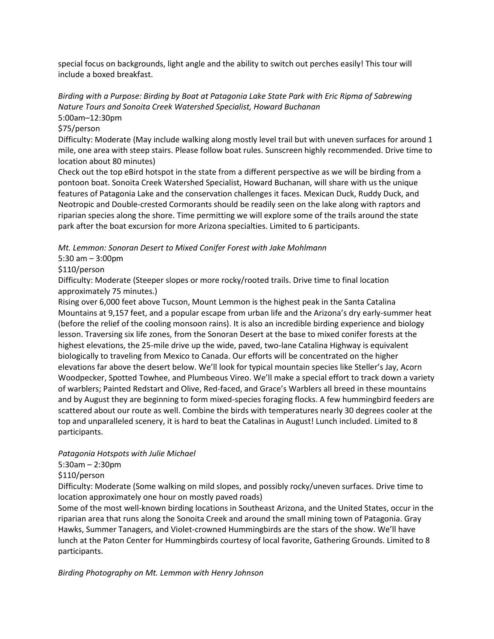special focus on backgrounds, light angle and the ability to switch out perches easily! This tour will include a boxed breakfast.

*Birding with a Purpose: Birding by Boat at Patagonia Lake State Park with Eric Ripma of Sabrewing Nature Tours and Sonoita Creek Watershed Specialist, Howard Buchanan* 5:00am–12:30pm

## \$75/person

Difficulty: Moderate (May include walking along mostly level trail but with uneven surfaces for around 1 mile, one area with steep stairs. Please follow boat rules. Sunscreen highly recommended. Drive time to location about 80 minutes)

Check out the top eBird hotspot in the state from a different perspective as we will be birding from a pontoon boat. Sonoita Creek Watershed Specialist, Howard Buchanan, will share with us the unique features of Patagonia Lake and the conservation challenges it faces. Mexican Duck, Ruddy Duck, and Neotropic and Double-crested Cormorants should be readily seen on the lake along with raptors and riparian species along the shore. Time permitting we will explore some of the trails around the state park after the boat excursion for more Arizona specialties. Limited to 6 participants.

*Mt. Lemmon: Sonoran Desert to Mixed Conifer Forest with Jake Mohlmann*

5:30 am – 3:00pm

### \$110/person

Difficulty: Moderate (Steeper slopes or more rocky/rooted trails. Drive time to final location approximately 75 minutes.)

Rising over 6,000 feet above Tucson, Mount Lemmon is the highest peak in the Santa Catalina Mountains at 9,157 feet, and a popular escape from urban life and the Arizona's dry early-summer heat (before the relief of the cooling monsoon rains). It is also an incredible birding experience and biology lesson. Traversing six life zones, from the Sonoran Desert at the base to mixed conifer forests at the highest elevations, the 25-mile drive up the wide, paved, two-lane Catalina Highway is equivalent biologically to traveling from Mexico to Canada. Our efforts will be concentrated on the higher elevations far above the desert below. We'll look for typical mountain species like Steller's Jay, Acorn Woodpecker, Spotted Towhee, and Plumbeous Vireo. We'll make a special effort to track down a variety of warblers; Painted Redstart and Olive, Red-faced, and Grace's Warblers all breed in these mountains and by August they are beginning to form mixed-species foraging flocks. A few hummingbird feeders are scattered about our route as well. Combine the birds with temperatures nearly 30 degrees cooler at the top and unparalleled scenery, it is hard to beat the Catalinas in August! Lunch included. Limited to 8 participants.

### *Patagonia Hotspots with Julie Michael*

### 5:30am – 2:30pm

\$110/person

Difficulty: Moderate (Some walking on mild slopes, and possibly rocky/uneven surfaces. Drive time to location approximately one hour on mostly paved roads)

Some of the most well-known birding locations in Southeast Arizona, and the United States, occur in the riparian area that runs along the Sonoita Creek and around the small mining town of Patagonia. Gray Hawks, Summer Tanagers, and Violet-crowned Hummingbirds are the stars of the show. We'll have lunch at the Paton Center for Hummingbirds courtesy of local favorite, Gathering Grounds. Limited to 8 participants.

*Birding Photography on Mt. Lemmon with Henry Johnson*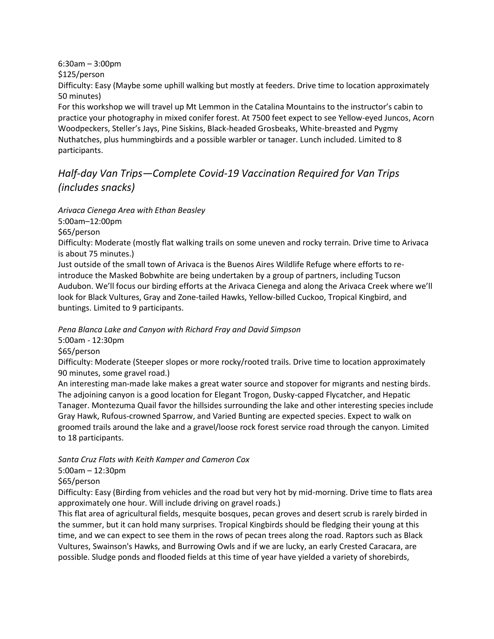6:30am – 3:00pm

\$125/person

Difficulty: Easy (Maybe some uphill walking but mostly at feeders. Drive time to location approximately 50 minutes)

For this workshop we will travel up Mt Lemmon in the Catalina Mountains to the instructor's cabin to practice your photography in mixed conifer forest. At 7500 feet expect to see Yellow-eyed Juncos, Acorn Woodpeckers, Steller's Jays, Pine Siskins, Black-headed Grosbeaks, White-breasted and Pygmy Nuthatches, plus hummingbirds and a possible warbler or tanager. Lunch included. Limited to 8 participants.

# *Half-day Van Trips—Complete Covid-19 Vaccination Required for Van Trips (includes snacks)*

*Arivaca Cienega Area with Ethan Beasley*

5:00am–12:00pm

\$65/person

Difficulty: Moderate (mostly flat walking trails on some uneven and rocky terrain. Drive time to Arivaca is about 75 minutes.)

Just outside of the small town of Arivaca is the Buenos Aires Wildlife Refuge where efforts to reintroduce the Masked Bobwhite are being undertaken by a group of partners, including Tucson Audubon. We'll focus our birding efforts at the Arivaca Cienega and along the Arivaca Creek where we'll look for Black Vultures, Gray and Zone-tailed Hawks, Yellow-billed Cuckoo, Tropical Kingbird, and buntings. Limited to 9 participants.

*Pena Blanca Lake and Canyon with Richard Fray and David Simpson*

5:00am - 12:30pm

\$65/person

Difficulty: Moderate (Steeper slopes or more rocky/rooted trails. Drive time to location approximately 90 minutes, some gravel road.)

An interesting man-made lake makes a great water source and stopover for migrants and nesting birds. The adjoining canyon is a good location for Elegant Trogon, Dusky-capped Flycatcher, and Hepatic Tanager. Montezuma Quail favor the hillsides surrounding the lake and other interesting species include Gray Hawk, Rufous-crowned Sparrow, and Varied Bunting are expected species. Expect to walk on groomed trails around the lake and a gravel/loose rock forest service road through the canyon. Limited to 18 participants.

*Santa Cruz Flats with Keith Kamper and Cameron Cox*

5:00am – 12:30pm

\$65/person

Difficulty: Easy (Birding from vehicles and the road but very hot by mid-morning. Drive time to flats area approximately one hour. Will include driving on gravel roads.)

This flat area of agricultural fields, mesquite bosques, pecan groves and desert scrub is rarely birded in the summer, but it can hold many surprises. Tropical Kingbirds should be fledging their young at this time, and we can expect to see them in the rows of pecan trees along the road. Raptors such as Black Vultures, Swainson's Hawks, and Burrowing Owls and if we are lucky, an early Crested Caracara, are possible. Sludge ponds and flooded fields at this time of year have yielded a variety of shorebirds,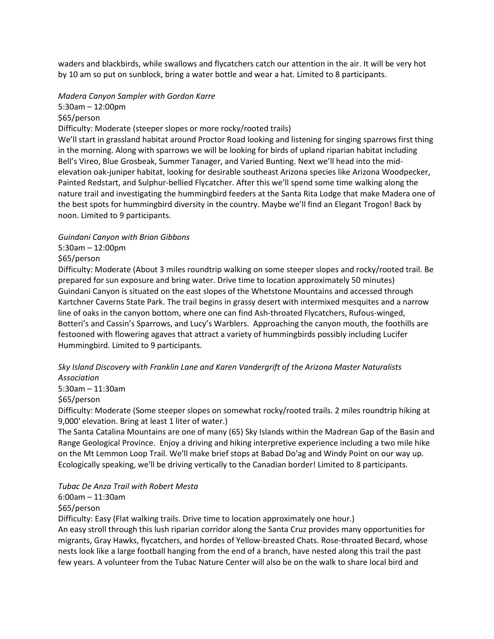waders and blackbirds, while swallows and flycatchers catch our attention in the air. It will be very hot by 10 am so put on sunblock, bring a water bottle and wear a hat. Limited to 8 participants.

## *Madera Canyon Sampler with Gordon Karre*

5:30am – 12:00pm

\$65/person

Difficulty: Moderate (steeper slopes or more rocky/rooted trails)

We'll start in grassland habitat around Proctor Road looking and listening for singing sparrows first thing in the morning. Along with sparrows we will be looking for birds of upland riparian habitat including Bell's Vireo, Blue Grosbeak, Summer Tanager, and Varied Bunting. Next we'll head into the midelevation oak-juniper habitat, looking for desirable southeast Arizona species like Arizona Woodpecker, Painted Redstart, and Sulphur-bellied Flycatcher. After this we'll spend some time walking along the nature trail and investigating the hummingbird feeders at the Santa Rita Lodge that make Madera one of the best spots for hummingbird diversity in the country. Maybe we'll find an Elegant Trogon! Back by noon. Limited to 9 participants.

### *Guindani Canyon with Brian Gibbons*

5:30am – 12:00pm

### \$65/person

Difficulty: Moderate (About 3 miles roundtrip walking on some steeper slopes and rocky/rooted trail. Be prepared for sun exposure and bring water. Drive time to location approximately 50 minutes) Guindani Canyon is situated on the east slopes of the Whetstone Mountains and accessed through Kartchner Caverns State Park. The trail begins in grassy desert with intermixed mesquites and a narrow line of oaks in the canyon bottom, where one can find Ash-throated Flycatchers, Rufous-winged, Botteri's and Cassin's Sparrows, and Lucy's Warblers. Approaching the canyon mouth, the foothills are festooned with flowering agaves that attract a variety of hummingbirds possibly including Lucifer Hummingbird. Limited to 9 participants.

### *Sky Island Discovery with Franklin Lane and Karen Vandergrift of the Arizona Master Naturalists Association*

5:30am – 11:30am

\$65/person

Difficulty: Moderate (Some steeper slopes on somewhat rocky/rooted trails. 2 miles roundtrip hiking at 9,000' elevation. Bring at least 1 liter of water.)

The Santa Catalina Mountains are one of many (65) Sky Islands within the Madrean Gap of the Basin and Range Geological Province. Enjoy a driving and hiking interpretive experience including a two mile hike on the Mt Lemmon Loop Trail. We'll make brief stops at Babad Do'ag and Windy Point on our way up. Ecologically speaking, we'll be driving vertically to the Canadian border! Limited to 8 participants.

*Tubac De Anza Trail with Robert Mesta*

6:00am – 11:30am \$65/person

Difficulty: Easy (Flat walking trails. Drive time to location approximately one hour.)

An easy stroll through this lush riparian corridor along the Santa Cruz provides many opportunities for migrants, Gray Hawks, flycatchers, and hordes of Yellow-breasted Chats. Rose-throated Becard, whose nests look like a large football hanging from the end of a branch, have nested along this trail the past few years. A volunteer from the Tubac Nature Center will also be on the walk to share local bird and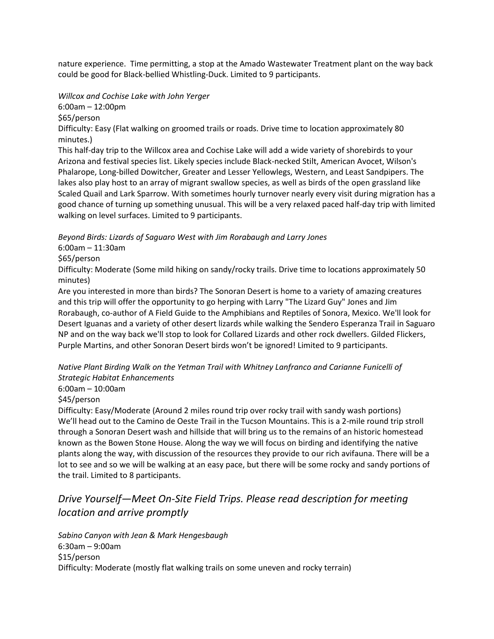nature experience. Time permitting, a stop at the Amado Wastewater Treatment plant on the way back could be good for Black-bellied Whistling-Duck. Limited to 9 participants.

*Willcox and Cochise Lake with John Yerger*

6:00am – 12:00pm

\$65/person

Difficulty: Easy (Flat walking on groomed trails or roads. Drive time to location approximately 80 minutes.)

This half-day trip to the Willcox area and Cochise Lake will add a wide variety of shorebirds to your Arizona and festival species list. Likely species include Black-necked Stilt, American Avocet, Wilson's Phalarope, Long-billed Dowitcher, Greater and Lesser Yellowlegs, Western, and Least Sandpipers. The lakes also play host to an array of migrant swallow species, as well as birds of the open grassland like Scaled Quail and Lark Sparrow. With sometimes hourly turnover nearly every visit during migration has a good chance of turning up something unusual. This will be a very relaxed paced half-day trip with limited walking on level surfaces. Limited to 9 participants.

*Beyond Birds: Lizards of Saguaro West with Jim Rorabaugh and Larry Jones*

6:00am – 11:30am

\$65/person

Difficulty: Moderate (Some mild hiking on sandy/rocky trails. Drive time to locations approximately 50 minutes)

Are you interested in more than birds? The Sonoran Desert is home to a variety of amazing creatures and this trip will offer the opportunity to go herping with Larry "The Lizard Guy" Jones and Jim Rorabaugh, co-author of A Field Guide to the Amphibians and Reptiles of Sonora, Mexico. We'll look for Desert Iguanas and a variety of other desert lizards while walking the Sendero Esperanza Trail in Saguaro NP and on the way back we'll stop to look for Collared Lizards and other rock dwellers. Gilded Flickers, Purple Martins, and other Sonoran Desert birds won't be ignored! Limited to 9 participants.

*Native Plant Birding Walk on the Yetman Trail with Whitney Lanfranco and Carianne Funicelli of Strategic Habitat Enhancements*

6:00am – 10:00am

\$45/person

Difficulty: Easy/Moderate (Around 2 miles round trip over rocky trail with sandy wash portions) We'll head out to the Camino de Oeste Trail in the Tucson Mountains. This is a 2-mile round trip stroll through a Sonoran Desert wash and hillside that will bring us to the remains of an historic homestead known as the Bowen Stone House. Along the way we will focus on birding and identifying the native plants along the way, with discussion of the resources they provide to our rich avifauna. There will be a lot to see and so we will be walking at an easy pace, but there will be some rocky and sandy portions of the trail. Limited to 8 participants.

# *Drive Yourself—Meet On-Site Field Trips. Please read description for meeting location and arrive promptly*

*Sabino Canyon with Jean & Mark Hengesbaugh* 6:30am – 9:00am \$15/person Difficulty: Moderate (mostly flat walking trails on some uneven and rocky terrain)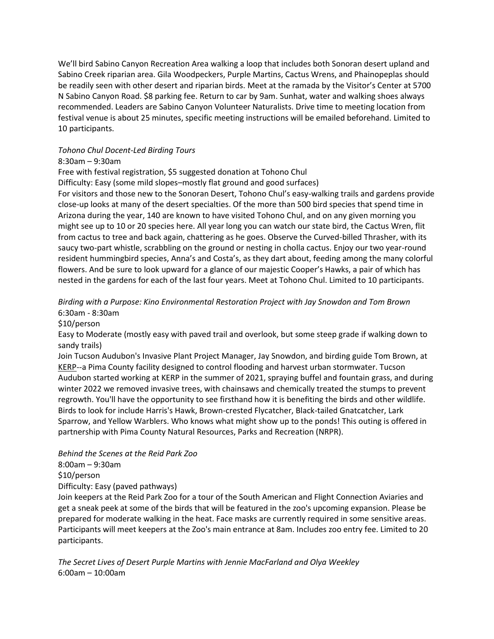We'll bird Sabino Canyon Recreation Area walking a loop that includes both Sonoran desert upland and Sabino Creek riparian area. Gila Woodpeckers, Purple Martins, Cactus Wrens, and Phainopeplas should be readily seen with other desert and riparian birds. Meet at the ramada by the Visitor's Center at 5700 N Sabino Canyon Road. \$8 parking fee. Return to car by 9am. Sunhat, water and walking shoes always recommended. Leaders are Sabino Canyon Volunteer Naturalists. Drive time to meeting location from festival venue is about 25 minutes, specific meeting instructions will be emailed beforehand. Limited to 10 participants.

### *Tohono Chul Docent-Led Birding Tours*

### 8:30am – 9:30am

Free with festival registration, \$5 suggested donation at Tohono Chul

Difficulty: Easy (some mild slopes–mostly flat ground and good surfaces)

For visitors and those new to the Sonoran Desert, Tohono Chul's easy-walking trails and gardens provide close-up looks at many of the desert specialties. Of the more than 500 bird species that spend time in Arizona during the year, 140 are known to have visited Tohono Chul, and on any given morning you might see up to 10 or 20 species here. All year long you can watch our state bird, the Cactus Wren, flit from cactus to tree and back again, chattering as he goes. Observe the Curved-billed Thrasher, with its saucy two-part whistle, scrabbling on the ground or nesting in cholla cactus. Enjoy our two year-round resident hummingbird species, Anna's and Costa's, as they dart about, feeding among the many colorful flowers. And be sure to look upward for a glance of our majestic Cooper's Hawks, a pair of which has nested in the gardens for each of the last four years. Meet at Tohono Chul. Limited to 10 participants.

### *Birding with a Purpose: Kino Environmental Restoration Project with Jay Snowdon and Tom Brown* 6:30am - 8:30am

\$10/person

Easy to Moderate (mostly easy with paved trail and overlook, but some steep grade if walking down to sandy trails)

Join Tucson Audubon's Invasive Plant Project Manager, Jay Snowdon, and birding guide Tom Brown, at [KERP-](https://webcms.pima.gov/UserFiles/Servers/Server_6/File/Government/Flood%20Control/Projects/KERP/kerp-urban-oasis-booklet2021.pdf)-a Pima County facility designed to control flooding and harvest urban stormwater. Tucson Audubon started working at KERP in the summer of 2021, spraying buffel and fountain grass, and during winter 2022 we removed invasive trees, with chainsaws and chemically treated the stumps to prevent regrowth. You'll have the opportunity to see firsthand how it is benefiting the birds and other wildlife. Birds to look for include Harris's Hawk, Brown-crested Flycatcher, Black-tailed Gnatcatcher, Lark Sparrow, and Yellow Warblers. Who knows what might show up to the ponds! This outing is offered in partnership with Pima County Natural Resources, Parks and Recreation (NRPR).

*Behind the Scenes at the Reid Park Zoo* 8:00am – 9:30am \$10/person

Difficulty: Easy (paved pathways)

Join keepers at the Reid Park Zoo for a tour of the South American and Flight Connection Aviaries and get a sneak peek at some of the birds that will be featured in the zoo's upcoming expansion. Please be prepared for moderate walking in the heat. Face masks are currently required in some sensitive areas. Participants will meet keepers at the Zoo's main entrance at 8am. Includes zoo entry fee. Limited to 20 participants.

*The Secret Lives of Desert Purple Martins with Jennie MacFarland and Olya Weekley* 6:00am – 10:00am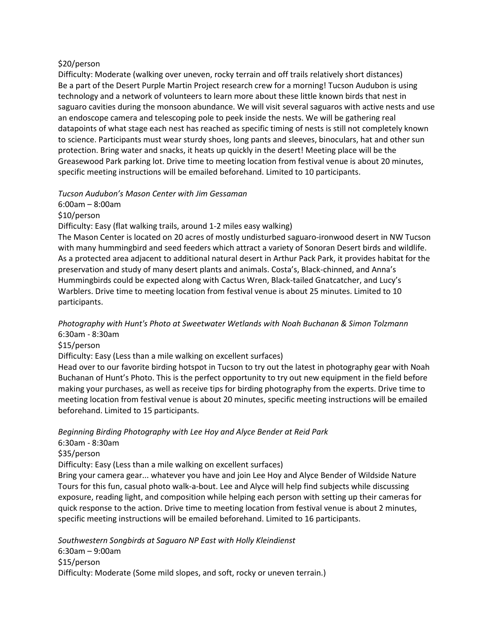### \$20/person

Difficulty: Moderate (walking over uneven, rocky terrain and off trails relatively short distances) Be a part of the Desert Purple Martin Project research crew for a morning! Tucson Audubon is using technology and a network of volunteers to learn more about these little known birds that nest in saguaro cavities during the monsoon abundance. We will visit several saguaros with active nests and use an endoscope camera and telescoping pole to peek inside the nests. We will be gathering real datapoints of what stage each nest has reached as specific timing of nests is still not completely known to science. Participants must wear sturdy shoes, long pants and sleeves, binoculars, hat and other sun protection. Bring water and snacks, it heats up quickly in the desert! Meeting place will be the Greasewood Park parking lot. Drive time to meeting location from festival venue is about 20 minutes, specific meeting instructions will be emailed beforehand. Limited to 10 participants.

### *Tucson Audubon's Mason Center with Jim Gessaman*

6:00am – 8:00am \$10/person

Difficulty: Easy (flat walking trails, around 1-2 miles easy walking)

The Mason Center is located on 20 acres of mostly undisturbed saguaro-ironwood desert in NW Tucson with many hummingbird and seed feeders which attract a variety of Sonoran Desert birds and wildlife. As a protected area adjacent to additional natural desert in Arthur Pack Park, it provides habitat for the preservation and study of many desert plants and animals. Costa's, Black-chinned, and Anna's Hummingbirds could be expected along with Cactus Wren, Black-tailed Gnatcatcher, and Lucy's Warblers. Drive time to meeting location from festival venue is about 25 minutes. Limited to 10 participants.

## *Photography with Hunt's Photo at Sweetwater Wetlands with Noah Buchanan & Simon Tolzmann* 6:30am - 8:30am

\$15/person

Difficulty: Easy (Less than a mile walking on excellent surfaces)

Head over to our favorite birding hotspot in Tucson to try out the latest in photography gear with Noah Buchanan of Hunt's Photo. This is the perfect opportunity to try out new equipment in the field before making your purchases, as well as receive tips for birding photography from the experts. Drive time to meeting location from festival venue is about 20 minutes, specific meeting instructions will be emailed beforehand. Limited to 15 participants.

*Beginning Birding Photography with Lee Hoy and Alyce Bender at Reid Park*

6:30am - 8:30am

\$35/person

Difficulty: Easy (Less than a mile walking on excellent surfaces)

Bring your camera gear... whatever you have and join Lee Hoy and Alyce Bender of Wildside Nature Tours for this fun, casual photo walk-a-bout. Lee and Alyce will help find subjects while discussing exposure, reading light, and composition while helping each person with setting up their cameras for quick response to the action. Drive time to meeting location from festival venue is about 2 minutes, specific meeting instructions will be emailed beforehand. Limited to 16 participants.

*Southwestern Songbirds at Saguaro NP East with Holly Kleindienst* 6:30am – 9:00am \$15/person Difficulty: Moderate (Some mild slopes, and soft, rocky or uneven terrain.)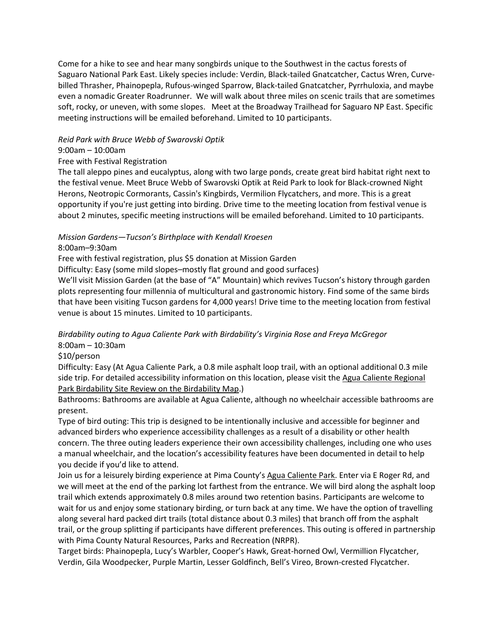Come for a hike to see and hear many songbirds unique to the Southwest in the cactus forests of Saguaro National Park East. Likely species include: Verdin, Black-tailed Gnatcatcher, Cactus Wren, Curvebilled Thrasher, Phainopepla, Rufous-winged Sparrow, Black-tailed Gnatcatcher, Pyrrhuloxia, and maybe even a nomadic Greater Roadrunner. We will walk about three miles on scenic trails that are sometimes soft, rocky, or uneven, with some slopes. Meet at the Broadway Trailhead for Saguaro NP East. Specific meeting instructions will be emailed beforehand. Limited to 10 participants.

### *Reid Park with Bruce Webb of Swarovski Optik*

### 9:00am – 10:00am

### Free with Festival Registration

The tall aleppo pines and eucalyptus, along with two large ponds, create great bird habitat right next to the festival venue. Meet Bruce Webb of Swarovski Optik at Reid Park to look for Black-crowned Night Herons, Neotropic Cormorants, Cassin's Kingbirds, Vermilion Flycatchers, and more. This is a great opportunity if you're just getting into birding. Drive time to the meeting location from festival venue is about 2 minutes, specific meeting instructions will be emailed beforehand. Limited to 10 participants.

### *Mission Gardens—Tucson's Birthplace with Kendall Kroesen*

8:00am–9:30am

Free with festival registration, plus \$5 donation at Mission Garden

Difficulty: Easy (some mild slopes–mostly flat ground and good surfaces)

We'll visit Mission Garden (at the base of "A" Mountain) which revives Tucson's history through garden plots representing four millennia of multicultural and gastronomic history. Find some of the same birds that have been visiting Tucson gardens for 4,000 years! Drive time to the meeting location from festival venue is about 15 minutes. Limited to 10 participants.

*Birdability outing to Agua Caliente Park with Birdability's Virginia Rose and Freya McGregor* 8:00am – 10:30am

### \$10/person

Difficulty: Easy (At Agua Caliente Park, a 0.8 mile asphalt loop trail, with an optional additional 0.3 mile side trip. For detailed accessibility information on this location, please visit the [Agua Caliente Regional](https://audubon.maps.arcgis.com/apps/webappviewer/index.html?id=b9d1bd41b4f1429f867f330885e2250e&query=Birdability_ReCreation_Public_View_9655%2Cwhat_is_the_name_of_the_area_tr,aqua%20caliente%20regional%20park)  [Park Birdability Site Review on the Birdability Map.](https://audubon.maps.arcgis.com/apps/webappviewer/index.html?id=b9d1bd41b4f1429f867f330885e2250e&query=Birdability_ReCreation_Public_View_9655%2Cwhat_is_the_name_of_the_area_tr,aqua%20caliente%20regional%20park))

Bathrooms: Bathrooms are available at Agua Caliente, although no wheelchair accessible bathrooms are present.

Type of bird outing: This trip is designed to be intentionally inclusive and accessible for beginner and advanced birders who experience accessibility challenges as a result of a disability or other health concern. The three outing leaders experience their own accessibility challenges, including one who uses a manual wheelchair, and the location's accessibility features have been documented in detail to help you decide if you'd like to attend.

Join us for a leisurely birding experience at Pima County's [Agua Caliente Park.](https://webcms.pima.gov/cms/One.aspx?pageId=1503) Enter via E Roger Rd, and we will meet at the end of the parking lot farthest from the entrance. We will bird along the asphalt loop trail which extends approximately 0.8 miles around two retention basins. Participants are welcome to wait for us and enjoy some stationary birding, or turn back at any time. We have the option of travelling along several hard packed dirt trails (total distance about 0.3 miles) that branch off from the asphalt trail, or the group splitting if participants have different preferences. This outing is offered in partnership with Pima County Natural Resources, Parks and Recreation (NRPR).

Target birds: Phainopepla, Lucy's Warbler, Cooper's Hawk, Great-horned Owl, Vermillion Flycatcher, Verdin, Gila Woodpecker, Purple Martin, Lesser Goldfinch, Bell's Vireo, Brown-crested Flycatcher.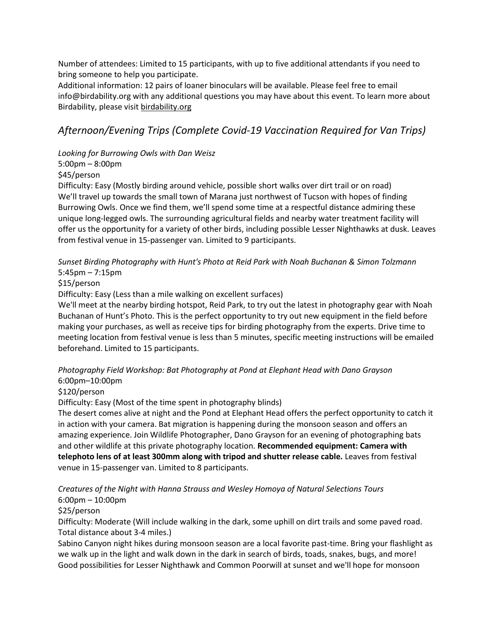Number of attendees: Limited to 15 participants, with up to five additional attendants if you need to bring someone to help you participate.

Additional information: 12 pairs of loaner binoculars will be available. Please feel free to email info@birdability.org with any additional questions you may have about this event. To learn more about Birdability, please visi[t birdability.org](https://www.birdability.org/)

# *Afternoon/Evening Trips (Complete Covid-19 Vaccination Required for Van Trips)*

### *Looking for Burrowing Owls with Dan Weisz*

5:00pm – 8:00pm

### \$45/person

Difficulty: Easy (Mostly birding around vehicle, possible short walks over dirt trail or on road) We'll travel up towards the small town of Marana just northwest of Tucson with hopes of finding Burrowing Owls. Once we find them, we'll spend some time at a respectful distance admiring these unique long-legged owls. The surrounding agricultural fields and nearby water treatment facility will offer us the opportunity for a variety of other birds, including possible Lesser Nighthawks at dusk. Leaves from festival venue in 15-passenger van. Limited to 9 participants.

### *Sunset Birding Photography with Hunt's Photo at Reid Park with Noah Buchanan & Simon Tolzmann* 5:45pm – 7:15pm

## \$15/person

Difficulty: Easy (Less than a mile walking on excellent surfaces)

We'll meet at the nearby birding hotspot, Reid Park, to try out the latest in photography gear with Noah Buchanan of Hunt's Photo. This is the perfect opportunity to try out new equipment in the field before making your purchases, as well as receive tips for birding photography from the experts. Drive time to meeting location from festival venue is less than 5 minutes, specific meeting instructions will be emailed beforehand. Limited to 15 participants.

### *Photography Field Workshop: Bat Photography at Pond at Elephant Head with Dano Grayson* 6:00pm–10:00pm

### \$120/person

Difficulty: Easy (Most of the time spent in photography blinds)

The desert comes alive at night and the Pond at Elephant Head offers the perfect opportunity to catch it in action with your camera. Bat migration is happening during the monsoon season and offers an amazing experience. Join Wildlife Photographer, Dano Grayson for an evening of photographing bats and other wildlife at this private photography location. **Recommended equipment: Camera with telephoto lens of at least 300mm along with tripod and shutter release cable.** Leaves from festival venue in 15-passenger van. Limited to 8 participants.

## *Creatures of the Night with Hanna Strauss and Wesley Homoya of Natural Selections Tours*

### 6:00pm – 10:00pm

### \$25/person

Difficulty: Moderate (Will include walking in the dark, some uphill on dirt trails and some paved road. Total distance about 3-4 miles.)

Sabino Canyon night hikes during monsoon season are a local favorite past-time. Bring your flashlight as we walk up in the light and walk down in the dark in search of birds, toads, snakes, bugs, and more! Good possibilities for Lesser Nighthawk and Common Poorwill at sunset and we'll hope for monsoon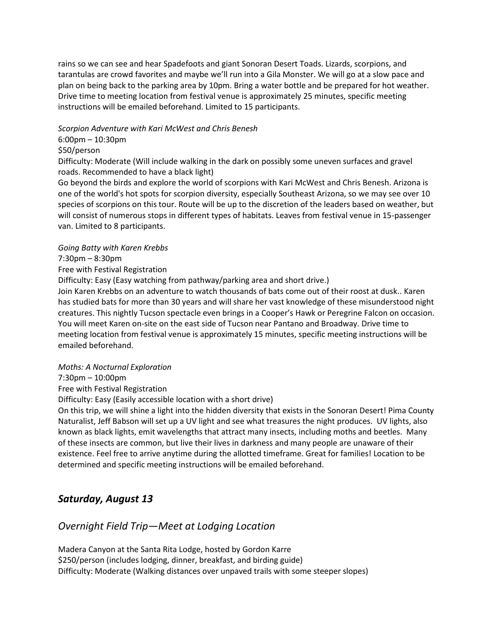rains so we can see and hear Spadefoots and giant Sonoran Desert Toads. Lizards, scorpions, and tarantulas are crowd favorites and maybe we'll run into a Gila Monster. We will go at a slow pace and plan on being back to the parking area by 10pm. Bring a water bottle and be prepared for hot weather. Drive time to meeting location from festival venue is approximately 25 minutes, specific meeting instructions will be emailed beforehand. Limited to 15 participants.

### *Scorpion Adventure with Kari McWest and Chris Benesh*

### 6:00pm – 10:30pm

### \$50/person

Difficulty: Moderate (Will include walking in the dark on possibly some uneven surfaces and gravel roads. Recommended to have a black light)

Go beyond the birds and explore the world of scorpions with Kari McWest and Chris Benesh. Arizona is one of the world's hot spots for scorpion diversity, especially Southeast Arizona, so we may see over 10 species of scorpions on this tour. Route will be up to the discretion of the leaders based on weather, but will consist of numerous stops in different types of habitats. Leaves from festival venue in 15-passenger van. Limited to 8 participants.

### *Going Batty with Karen Krebbs*

7:30pm – 8:30pm

### Free with Festival Registration

Difficulty: Easy (Easy watching from pathway/parking area and short drive.)

Join Karen Krebbs on an adventure to watch thousands of bats come out of their roost at dusk.. Karen has studied bats for more than 30 years and will share her vast knowledge of these misunderstood night creatures. This nightly Tucson spectacle even brings in a Cooper's Hawk or Peregrine Falcon on occasion. You will meet Karen on-site on the east side of Tucson near Pantano and Broadway. Drive time to meeting location from festival venue is approximately 15 minutes, specific meeting instructions will be emailed beforehand.

### *Moths: A Nocturnal Exploration*

7:30pm – 10:00pm

Free with Festival Registration

Difficulty: Easy (Easily accessible location with a short drive)

On this trip, we will shine a light into the hidden diversity that exists in the Sonoran Desert! Pima County Naturalist, Jeff Babson will set up a UV light and see what treasures the night produces. UV lights, also known as black lights, emit wavelengths that attract many insects, including moths and beetles. Many of these insects are common, but live their lives in darkness and many people are unaware of their existence. Feel free to arrive anytime during the allotted timeframe. Great for families! Location to be determined and specific meeting instructions will be emailed beforehand.

## *Saturday, August 13*

## *Overnight Field Trip—Meet at Lodging Location*

Madera Canyon at the Santa Rita Lodge, hosted by Gordon Karre \$250/person (includes lodging, dinner, breakfast, and birding guide) Difficulty: Moderate (Walking distances over unpaved trails with some steeper slopes)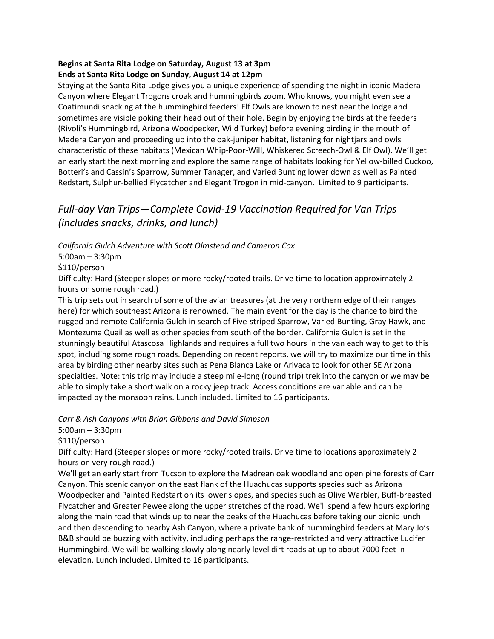## **Begins at Santa Rita Lodge on Saturday, August 13 at 3pm Ends at Santa Rita Lodge on Sunday, August 14 at 12pm**

Staying at the Santa Rita Lodge gives you a unique experience of spending the night in iconic Madera Canyon where Elegant Trogons croak and hummingbirds zoom. Who knows, you might even see a Coatimundi snacking at the hummingbird feeders! Elf Owls are known to nest near the lodge and sometimes are visible poking their head out of their hole. Begin by enjoying the birds at the feeders (Rivoli's Hummingbird, Arizona Woodpecker, Wild Turkey) before evening birding in the mouth of Madera Canyon and proceeding up into the oak-juniper habitat, listening for nightjars and owls characteristic of these habitats (Mexican Whip-Poor-Will, Whiskered Screech-Owl & Elf Owl). We'll get an early start the next morning and explore the same range of habitats looking for Yellow-billed Cuckoo, Botteri's and Cassin's Sparrow, Summer Tanager, and Varied Bunting lower down as well as Painted Redstart, Sulphur-bellied Flycatcher and Elegant Trogon in mid-canyon. Limited to 9 participants.

# *Full-day Van Trips—Complete Covid-19 Vaccination Required for Van Trips (includes snacks, drinks, and lunch)*

*California Gulch Adventure with Scott Olmstead and Cameron Cox*

5:00am – 3:30pm

\$110/person

Difficulty: Hard (Steeper slopes or more rocky/rooted trails. Drive time to location approximately 2 hours on some rough road.)

This trip sets out in search of some of the avian treasures (at the very northern edge of their ranges here) for which southeast Arizona is renowned. The main event for the day is the chance to bird the rugged and remote California Gulch in search of Five-striped Sparrow, Varied Bunting, Gray Hawk, and Montezuma Quail as well as other species from south of the border. California Gulch is set in the stunningly beautiful Atascosa Highlands and requires a full two hours in the van each way to get to this spot, including some rough roads. Depending on recent reports, we will try to maximize our time in this area by birding other nearby sites such as Pena Blanca Lake or Arivaca to look for other SE Arizona specialties. Note: this trip may include a steep mile-long (round trip) trek into the canyon or we may be able to simply take a short walk on a rocky jeep track. Access conditions are variable and can be impacted by the monsoon rains. Lunch included. Limited to 16 participants.

*Carr & Ash Canyons with Brian Gibbons and David Simpson*

5:00am – 3:30pm

\$110/person

Difficulty: Hard (Steeper slopes or more rocky/rooted trails. Drive time to locations approximately 2 hours on very rough road.)

We'll get an early start from Tucson to explore the Madrean oak woodland and open pine forests of Carr Canyon. This scenic canyon on the east flank of the Huachucas supports species such as Arizona Woodpecker and Painted Redstart on its lower slopes, and species such as Olive Warbler, Buff-breasted Flycatcher and Greater Pewee along the upper stretches of the road. We'll spend a few hours exploring along the main road that winds up to near the peaks of the Huachucas before taking our picnic lunch and then descending to nearby Ash Canyon, where a private bank of hummingbird feeders at Mary Jo's B&B should be buzzing with activity, including perhaps the range-restricted and very attractive Lucifer Hummingbird. We will be walking slowly along nearly level dirt roads at up to about 7000 feet in elevation. Lunch included. Limited to 16 participants.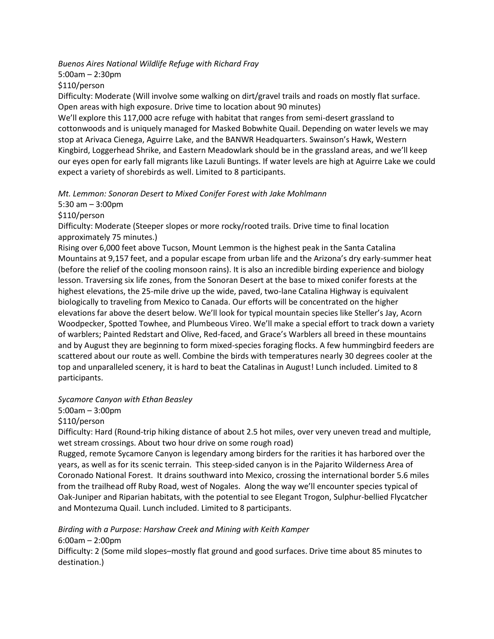*Buenos Aires National Wildlife Refuge with Richard Fray*

5:00am – 2:30pm

\$110/person

Difficulty: Moderate (Will involve some walking on dirt/gravel trails and roads on mostly flat surface. Open areas with high exposure. Drive time to location about 90 minutes)

We'll explore this 117,000 acre refuge with habitat that ranges from semi-desert grassland to cottonwoods and is uniquely managed for Masked Bobwhite Quail. Depending on water levels we may stop at Arivaca Cienega, Aguirre Lake, and the BANWR Headquarters. Swainson's Hawk, Western Kingbird, Loggerhead Shrike, and Eastern Meadowlark should be in the grassland areas, and we'll keep our eyes open for early fall migrants like Lazuli Buntings. If water levels are high at Aguirre Lake we could expect a variety of shorebirds as well. Limited to 8 participants.

*Mt. Lemmon: Sonoran Desert to Mixed Conifer Forest with Jake Mohlmann*

5:30 am – 3:00pm

\$110/person

Difficulty: Moderate (Steeper slopes or more rocky/rooted trails. Drive time to final location approximately 75 minutes.)

Rising over 6,000 feet above Tucson, Mount Lemmon is the highest peak in the Santa Catalina Mountains at 9,157 feet, and a popular escape from urban life and the Arizona's dry early-summer heat (before the relief of the cooling monsoon rains). It is also an incredible birding experience and biology lesson. Traversing six life zones, from the Sonoran Desert at the base to mixed conifer forests at the highest elevations, the 25-mile drive up the wide, paved, two-lane Catalina Highway is equivalent biologically to traveling from Mexico to Canada. Our efforts will be concentrated on the higher elevations far above the desert below. We'll look for typical mountain species like Steller's Jay, Acorn Woodpecker, Spotted Towhee, and Plumbeous Vireo. We'll make a special effort to track down a variety of warblers; Painted Redstart and Olive, Red-faced, and Grace's Warblers all breed in these mountains and by August they are beginning to form mixed-species foraging flocks. A few hummingbird feeders are scattered about our route as well. Combine the birds with temperatures nearly 30 degrees cooler at the top and unparalleled scenery, it is hard to beat the Catalinas in August! Lunch included. Limited to 8 participants.

*Sycamore Canyon with Ethan Beasley*

5:00am – 3:00pm

\$110/person

Difficulty: Hard (Round-trip hiking distance of about 2.5 hot miles, over very uneven tread and multiple, wet stream crossings. About two hour drive on some rough road)

Rugged, remote Sycamore Canyon is legendary among birders for the rarities it has harbored over the years, as well as for its scenic terrain. This steep-sided canyon is in the Pajarito Wilderness Area of Coronado National Forest. It drains southward into Mexico, crossing the international border 5.6 miles from the trailhead off Ruby Road, west of Nogales. Along the way we'll encounter species typical of Oak-Juniper and Riparian habitats, with the potential to see Elegant Trogon, Sulphur-bellied Flycatcher and Montezuma Quail. Lunch included. Limited to 8 participants.

*Birding with a Purpose: Harshaw Creek and Mining with Keith Kamper*

6:00am – 2:00pm

Difficulty: 2 (Some mild slopes–mostly flat ground and good surfaces. Drive time about 85 minutes to destination.)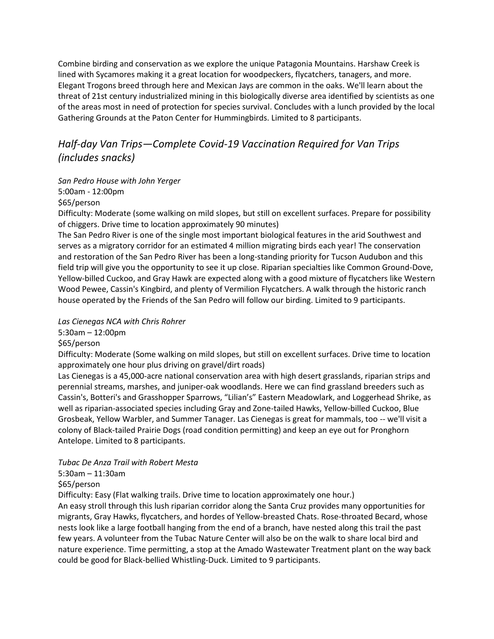Combine birding and conservation as we explore the unique Patagonia Mountains. Harshaw Creek is lined with Sycamores making it a great location for woodpeckers, flycatchers, tanagers, and more. Elegant Trogons breed through here and Mexican Jays are common in the oaks. We'll learn about the threat of 21st century industrialized mining in this biologically diverse area identified by scientists as one of the areas most in need of protection for species survival. Concludes with a lunch provided by the local Gathering Grounds at the Paton Center for Hummingbirds. Limited to 8 participants.

# *Half-day Van Trips—Complete Covid-19 Vaccination Required for Van Trips (includes snacks)*

*San Pedro House with John Yerger* 5:00am - 12:00pm

\$65/person

Difficulty: Moderate (some walking on mild slopes, but still on excellent surfaces. Prepare for possibility of chiggers. Drive time to location approximately 90 minutes)

The San Pedro River is one of the single most important biological features in the arid Southwest and serves as a migratory corridor for an estimated 4 million migrating birds each year! The conservation and restoration of the San Pedro River has been a long-standing priority for Tucson Audubon and this field trip will give you the opportunity to see it up close. Riparian specialties like Common Ground-Dove, Yellow-billed Cuckoo, and Gray Hawk are expected along with a good mixture of flycatchers like Western Wood Pewee, Cassin's Kingbird, and plenty of Vermilion Flycatchers. A walk through the historic ranch house operated by the Friends of the San Pedro will follow our birding. Limited to 9 participants.

*Las Cienegas NCA with Chris Rohrer*

5:30am – 12:00pm

\$65/person

Difficulty: Moderate (Some walking on mild slopes, but still on excellent surfaces. Drive time to location approximately one hour plus driving on gravel/dirt roads)

Las Cienegas is a 45,000-acre national conservation area with high desert grasslands, riparian strips and perennial streams, marshes, and juniper-oak woodlands. Here we can find grassland breeders such as Cassin's, Botteri's and Grasshopper Sparrows, "Lilian's" Eastern Meadowlark, and Loggerhead Shrike, as well as riparian-associated species including Gray and Zone-tailed Hawks, Yellow-billed Cuckoo, Blue Grosbeak, Yellow Warbler, and Summer Tanager. Las Cienegas is great for mammals, too -- we'll visit a colony of Black-tailed Prairie Dogs (road condition permitting) and keep an eye out for Pronghorn Antelope. Limited to 8 participants.

*Tubac De Anza Trail with Robert Mesta*

5:30am – 11:30am

\$65/person

Difficulty: Easy (Flat walking trails. Drive time to location approximately one hour.)

An easy stroll through this lush riparian corridor along the Santa Cruz provides many opportunities for migrants, Gray Hawks, flycatchers, and hordes of Yellow-breasted Chats. Rose-throated Becard, whose nests look like a large football hanging from the end of a branch, have nested along this trail the past few years. A volunteer from the Tubac Nature Center will also be on the walk to share local bird and nature experience. Time permitting, a stop at the Amado Wastewater Treatment plant on the way back could be good for Black-bellied Whistling-Duck. Limited to 9 participants.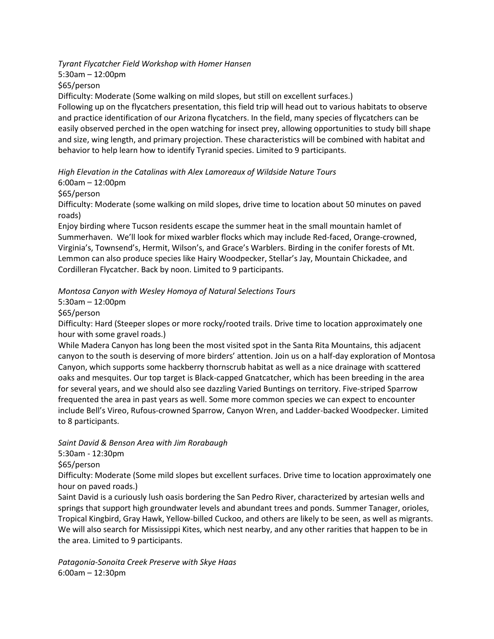*Tyrant Flycatcher Field Workshop with Homer Hansen*

5:30am – 12:00pm \$65/person

Difficulty: Moderate (Some walking on mild slopes, but still on excellent surfaces.)

Following up on the flycatchers presentation, this field trip will head out to various habitats to observe and practice identification of our Arizona flycatchers. In the field, many species of flycatchers can be easily observed perched in the open watching for insect prey, allowing opportunities to study bill shape and size, wing length, and primary projection. These characteristics will be combined with habitat and behavior to help learn how to identify Tyranid species. Limited to 9 participants.

*High Elevation in the Catalinas with Alex Lamoreaux of Wildside Nature Tours*

6:00am – 12:00pm

\$65/person

Difficulty: Moderate (some walking on mild slopes, drive time to location about 50 minutes on paved roads)

Enjoy birding where Tucson residents escape the summer heat in the small mountain hamlet of Summerhaven. We'll look for mixed warbler flocks which may include Red-faced, Orange-crowned, Virginia's, Townsend's, Hermit, Wilson's, and Grace's Warblers. Birding in the conifer forests of Mt. Lemmon can also produce species like Hairy Woodpecker, Stellar's Jay, Mountain Chickadee, and Cordilleran Flycatcher. Back by noon. Limited to 9 participants.

*Montosa Canyon with Wesley Homoya of Natural Selections Tours* 

5:30am – 12:00pm

\$65/person

Difficulty: Hard (Steeper slopes or more rocky/rooted trails. Drive time to location approximately one hour with some gravel roads.)

While Madera Canyon has long been the most visited spot in the Santa Rita Mountains, this adjacent canyon to the south is deserving of more birders' attention. Join us on a half-day exploration of Montosa Canyon, which supports some hackberry thornscrub habitat as well as a nice drainage with scattered oaks and mesquites. Our top target is Black-capped Gnatcatcher, which has been breeding in the area for several years, and we should also see dazzling Varied Buntings on territory. Five-striped Sparrow frequented the area in past years as well. Some more common species we can expect to encounter include Bell's Vireo, Rufous-crowned Sparrow, Canyon Wren, and Ladder-backed Woodpecker. Limited to 8 participants.

*Saint David & Benson Area with Jim Rorabaugh*

5:30am - 12:30pm

\$65/person

Difficulty: Moderate (Some mild slopes but excellent surfaces. Drive time to location approximately one hour on paved roads.)

Saint David is a curiously lush oasis bordering the San Pedro River, characterized by artesian wells and springs that support high groundwater levels and abundant trees and ponds. Summer Tanager, orioles, Tropical Kingbird, Gray Hawk, Yellow-billed Cuckoo, and others are likely to be seen, as well as migrants. We will also search for Mississippi Kites, which nest nearby, and any other rarities that happen to be in the area. Limited to 9 participants.

*Patagonia-Sonoita Creek Preserve with Skye Haas* 6:00am – 12:30pm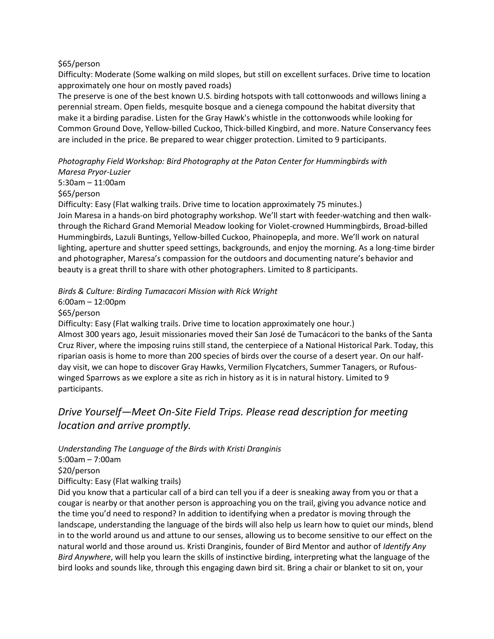### \$65/person

Difficulty: Moderate (Some walking on mild slopes, but still on excellent surfaces. Drive time to location approximately one hour on mostly paved roads)

The preserve is one of the best known U.S. birding hotspots with tall cottonwoods and willows lining a perennial stream. Open fields, mesquite bosque and a cienega compound the habitat diversity that make it a birding paradise. Listen for the Gray Hawk's whistle in the cottonwoods while looking for Common Ground Dove, Yellow-billed Cuckoo, Thick-billed Kingbird, and more. Nature Conservancy fees are included in the price. Be prepared to wear chigger protection. Limited to 9 participants.

*Photography Field Workshop: Bird Photography at the Paton Center for Hummingbirds with Maresa Pryor-Luzier*

5:30am – 11:00am \$65/person

Difficulty: Easy (Flat walking trails. Drive time to location approximately 75 minutes.)

Join Maresa in a hands-on bird photography workshop. We'll start with feeder-watching and then walkthrough the Richard Grand Memorial Meadow looking for Violet-crowned Hummingbirds, Broad-billed Hummingbirds, Lazuli Buntings, Yellow-billed Cuckoo, Phainopepla, and more. We'll work on natural lighting, aperture and shutter speed settings, backgrounds, and enjoy the morning. As a long-time birder and photographer, Maresa's compassion for the outdoors and documenting nature's behavior and beauty is a great thrill to share with other photographers. Limited to 8 participants.

*Birds & Culture: Birding Tumacacori Mission with Rick Wright*

6:00am – 12:00pm

\$65/person

Difficulty: Easy (Flat walking trails. Drive time to location approximately one hour.) Almost 300 years ago, Jesuit missionaries moved their San José de Tumacácori to the banks of the Santa Cruz River, where the imposing ruins still stand, the centerpiece of a National Historical Park. Today, this riparian oasis is home to more than 200 species of birds over the course of a desert year. On our halfday visit, we can hope to discover Gray Hawks, Vermilion Flycatchers, Summer Tanagers, or Rufouswinged Sparrows as we explore a site as rich in history as it is in natural history. Limited to 9 participants.

# *Drive Yourself—Meet On-Site Field Trips. Please read description for meeting location and arrive promptly.*

*Understanding The Language of the Birds with Kristi Dranginis*

5:00am – 7:00am

\$20/person

Difficulty: Easy (Flat walking trails)

Did you know that a particular call of a bird can tell you if a deer is sneaking away from you or that a cougar is nearby or that another person is approaching you on the trail, giving you advance notice and the time you'd need to respond? In addition to identifying when a predator is moving through the landscape, understanding the language of the birds will also help us learn how to quiet our minds, blend in to the world around us and attune to our senses, allowing us to become sensitive to our effect on the natural world and those around us. Kristi Dranginis, founder of Bird Mentor and author of *Identify Any Bird Anywhere*, will help you learn the skills of instinctive birding, interpreting what the language of the bird looks and sounds like, through this engaging dawn bird sit. Bring a chair or blanket to sit on, your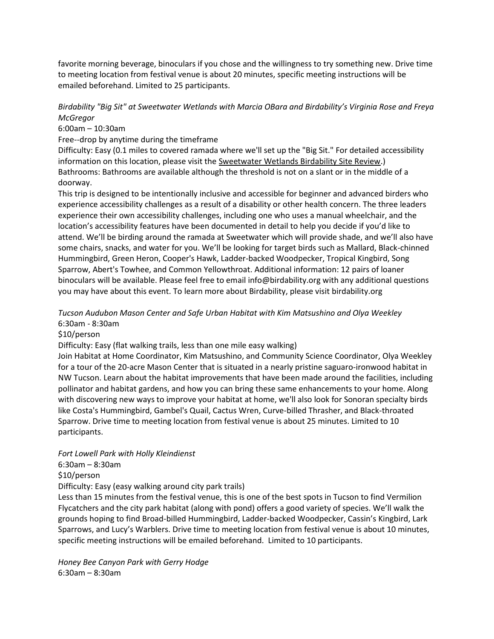favorite morning beverage, binoculars if you chose and the willingness to try something new. Drive time to meeting location from festival venue is about 20 minutes, specific meeting instructions will be emailed beforehand. Limited to 25 participants.

### *Birdability "Big Sit" at Sweetwater Wetlands with Marcia OBara and Birdability's Virginia Rose and Freya McGregor*

6:00am – 10:30am

Free--drop by anytime during the timeframe

Difficulty: Easy (0.1 miles to covered ramada where we'll set up the "Big Sit." For detailed accessibility information on this location, please visit the [Sweetwater Wetlands Birdability Site Review.](https://audubon.maps.arcgis.com/apps/webappviewer/index.html?id=b9d1bd41b4f1429f867f330885e2250e&query=Birdability_ReCreation_Public_View_9655%2Cwhat_is_the_name_of_the_area_tr,Sweetwater%20Wetlands)) Bathrooms: Bathrooms are available although the threshold is not on a slant or in the middle of a doorway.

This trip is designed to be intentionally inclusive and accessible for beginner and advanced birders who experience accessibility challenges as a result of a disability or other health concern. The three leaders experience their own accessibility challenges, including one who uses a manual wheelchair, and the location's accessibility features have been documented in detail to help you decide if you'd like to attend. We'll be birding around the ramada at Sweetwater which will provide shade, and we'll also have some chairs, snacks, and water for you. We'll be looking for target birds such as Mallard, Black-chinned Hummingbird, Green Heron, Cooper's Hawk, Ladder-backed Woodpecker, Tropical Kingbird, Song Sparrow, Abert's Towhee, and Common Yellowthroat. Additional information: 12 pairs of loaner binoculars will be available. Please feel free to email info@birdability.org with any additional questions you may have about this event. To learn more about Birdability, please visit birdability.org

*Tucson Audubon Mason Center and Safe Urban Habitat with Kim Matsushino and Olya Weekley* 6:30am - 8:30am

\$10/person

Difficulty: Easy (flat walking trails, less than one mile easy walking)

Join Habitat at Home Coordinator, Kim Matsushino, and Community Science Coordinator, Olya Weekley for a tour of the 20-acre Mason Center that is situated in a nearly pristine saguaro-ironwood habitat in NW Tucson. Learn about the habitat improvements that have been made around the facilities, including pollinator and habitat gardens, and how you can bring these same enhancements to your home. Along with discovering new ways to improve your habitat at home, we'll also look for Sonoran specialty birds like Costa's Hummingbird, Gambel's Quail, Cactus Wren, Curve-billed Thrasher, and Black-throated Sparrow. Drive time to meeting location from festival venue is about 25 minutes. Limited to 10 participants.

*Fort Lowell Park with Holly Kleindienst*

6:30am – 8:30am

\$10/person

Difficulty: Easy (easy walking around city park trails)

Less than 15 minutes from the festival venue, this is one of the best spots in Tucson to find Vermilion Flycatchers and the city park habitat (along with pond) offers a good variety of species. We'll walk the grounds hoping to find Broad-billed Hummingbird, Ladder-backed Woodpecker, Cassin's Kingbird, Lark Sparrows, and Lucy's Warblers. Drive time to meeting location from festival venue is about 10 minutes, specific meeting instructions will be emailed beforehand. Limited to 10 participants.

*Honey Bee Canyon Park with Gerry Hodge* 6:30am – 8:30am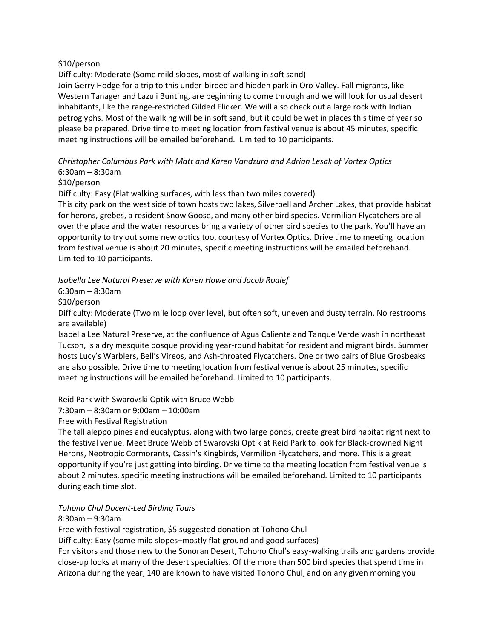### \$10/person

Difficulty: Moderate (Some mild slopes, most of walking in soft sand)

Join Gerry Hodge for a trip to this under-birded and hidden park in Oro Valley. Fall migrants, like Western Tanager and Lazuli Bunting, are beginning to come through and we will look for usual desert inhabitants, like the range-restricted Gilded Flicker. We will also check out a large rock with Indian petroglyphs. Most of the walking will be in soft sand, but it could be wet in places this time of year so please be prepared. Drive time to meeting location from festival venue is about 45 minutes, specific meeting instructions will be emailed beforehand. Limited to 10 participants.

*Christopher Columbus Park with Matt and Karen Vandzura and Adrian Lesak of Vortex Optics* 6:30am – 8:30am

\$10/person

Difficulty: Easy (Flat walking surfaces, with less than two miles covered)

This city park on the west side of town hosts two lakes, Silverbell and Archer Lakes, that provide habitat for herons, grebes, a resident Snow Goose, and many other bird species. Vermilion Flycatchers are all over the place and the water resources bring a variety of other bird species to the park. You'll have an opportunity to try out some new optics too, courtesy of Vortex Optics. Drive time to meeting location from festival venue is about 20 minutes, specific meeting instructions will be emailed beforehand. Limited to 10 participants.

*Isabella Lee Natural Preserve with Karen Howe and Jacob Roalef*

6:30am – 8:30am

\$10/person

Difficulty: Moderate (Two mile loop over level, but often soft, uneven and dusty terrain. No restrooms are available)

Isabella Lee Natural Preserve, at the confluence of Agua Caliente and Tanque Verde wash in northeast Tucson, is a dry mesquite bosque providing year-round habitat for resident and migrant birds. Summer hosts Lucy's Warblers, Bell's Vireos, and Ash-throated Flycatchers. One or two pairs of Blue Grosbeaks are also possible. Drive time to meeting location from festival venue is about 25 minutes, specific meeting instructions will be emailed beforehand. Limited to 10 participants.

Reid Park with Swarovski Optik with Bruce Webb

7:30am – 8:30am or 9:00am – 10:00am

Free with Festival Registration

The tall aleppo pines and eucalyptus, along with two large ponds, create great bird habitat right next to the festival venue. Meet Bruce Webb of Swarovski Optik at Reid Park to look for Black-crowned Night Herons, Neotropic Cormorants, Cassin's Kingbirds, Vermilion Flycatchers, and more. This is a great opportunity if you're just getting into birding. Drive time to the meeting location from festival venue is about 2 minutes, specific meeting instructions will be emailed beforehand. Limited to 10 participants during each time slot.

### *Tohono Chul Docent-Led Birding Tours*

8:30am – 9:30am

Free with festival registration, \$5 suggested donation at Tohono Chul

Difficulty: Easy (some mild slopes–mostly flat ground and good surfaces)

For visitors and those new to the Sonoran Desert, Tohono Chul's easy-walking trails and gardens provide close-up looks at many of the desert specialties. Of the more than 500 bird species that spend time in Arizona during the year, 140 are known to have visited Tohono Chul, and on any given morning you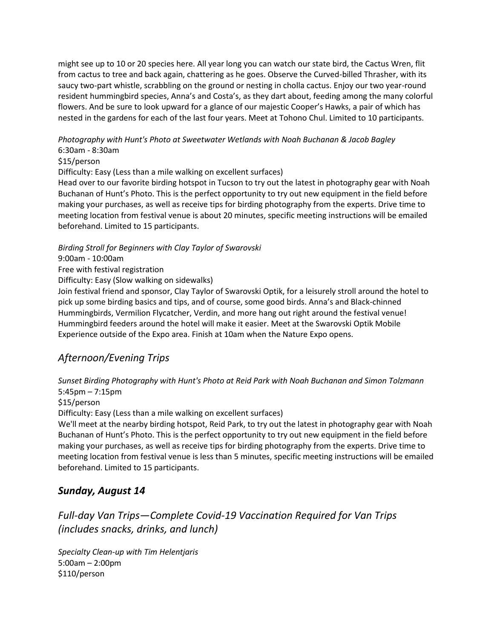might see up to 10 or 20 species here. All year long you can watch our state bird, the Cactus Wren, flit from cactus to tree and back again, chattering as he goes. Observe the Curved-billed Thrasher, with its saucy two-part whistle, scrabbling on the ground or nesting in cholla cactus. Enjoy our two year-round resident hummingbird species, Anna's and Costa's, as they dart about, feeding among the many colorful flowers. And be sure to look upward for a glance of our majestic Cooper's Hawks, a pair of which has nested in the gardens for each of the last four years. Meet at Tohono Chul. Limited to 10 participants.

*Photography with Hunt's Photo at Sweetwater Wetlands with Noah Buchanan & Jacob Bagley* 6:30am - 8:30am

\$15/person

Difficulty: Easy (Less than a mile walking on excellent surfaces)

Head over to our favorite birding hotspot in Tucson to try out the latest in photography gear with Noah Buchanan of Hunt's Photo. This is the perfect opportunity to try out new equipment in the field before making your purchases, as well as receive tips for birding photography from the experts. Drive time to meeting location from festival venue is about 20 minutes, specific meeting instructions will be emailed beforehand. Limited to 15 participants.

*Birding Stroll for Beginners with Clay Taylor of Swarovski*

9:00am - 10:00am

Free with festival registration

Difficulty: Easy (Slow walking on sidewalks)

Join festival friend and sponsor, Clay Taylor of Swarovski Optik, for a leisurely stroll around the hotel to pick up some birding basics and tips, and of course, some good birds. Anna's and Black-chinned Hummingbirds, Vermilion Flycatcher, Verdin, and more hang out right around the festival venue! Hummingbird feeders around the hotel will make it easier. Meet at the Swarovski Optik Mobile Experience outside of the Expo area. Finish at 10am when the Nature Expo opens.

## *Afternoon/Evening Trips*

*Sunset Birding Photography with Hunt's Photo at Reid Park with Noah Buchanan and Simon Tolzmann* 5:45pm – 7:15pm

\$15/person

Difficulty: Easy (Less than a mile walking on excellent surfaces)

We'll meet at the nearby birding hotspot, Reid Park, to try out the latest in photography gear with Noah Buchanan of Hunt's Photo. This is the perfect opportunity to try out new equipment in the field before making your purchases, as well as receive tips for birding photography from the experts. Drive time to meeting location from festival venue is less than 5 minutes, specific meeting instructions will be emailed beforehand. Limited to 15 participants.

## *Sunday, August 14*

*Full-day Van Trips—Complete Covid-19 Vaccination Required for Van Trips (includes snacks, drinks, and lunch)*

*Specialty Clean-up with Tim Helentjaris* 5:00am – 2:00pm \$110/person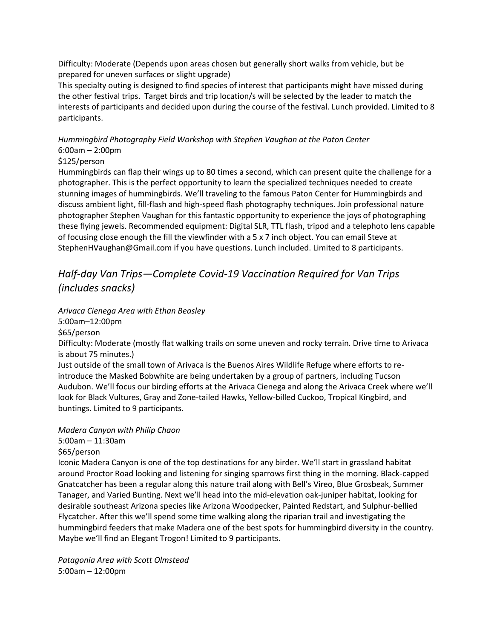Difficulty: Moderate (Depends upon areas chosen but generally short walks from vehicle, but be prepared for uneven surfaces or slight upgrade)

This specialty outing is designed to find species of interest that participants might have missed during the other festival trips. Target birds and trip location/s will be selected by the leader to match the interests of participants and decided upon during the course of the festival. Lunch provided. Limited to 8 participants.

*Hummingbird Photography Field Workshop with Stephen Vaughan at the Paton Center* 6:00am – 2:00pm

### \$125/person

Hummingbirds can flap their wings up to 80 times a second, which can present quite the challenge for a photographer. This is the perfect opportunity to learn the specialized techniques needed to create stunning images of hummingbirds. We'll traveling to the famous Paton Center for Hummingbirds and discuss ambient light, fill-flash and high-speed flash photography techniques. Join professional nature photographer Stephen Vaughan for this fantastic opportunity to experience the joys of photographing these flying jewels. Recommended equipment: Digital SLR, TTL flash, tripod and a telephoto lens capable of focusing close enough the fill the viewfinder with a 5 x 7 inch object. You can email Steve at StephenHVaughan@Gmail.com if you have questions. Lunch included. Limited to 8 participants.

# *Half-day Van Trips—Complete Covid-19 Vaccination Required for Van Trips (includes snacks)*

*Arivaca Cienega Area with Ethan Beasley*

5:00am–12:00pm

\$65/person

Difficulty: Moderate (mostly flat walking trails on some uneven and rocky terrain. Drive time to Arivaca is about 75 minutes.)

Just outside of the small town of Arivaca is the Buenos Aires Wildlife Refuge where efforts to reintroduce the Masked Bobwhite are being undertaken by a group of partners, including Tucson Audubon. We'll focus our birding efforts at the Arivaca Cienega and along the Arivaca Creek where we'll look for Black Vultures, Gray and Zone-tailed Hawks, Yellow-billed Cuckoo, Tropical Kingbird, and buntings. Limited to 9 participants.

### *Madera Canyon with Philip Chaon*

5:00am – 11:30am

\$65/person

Iconic Madera Canyon is one of the top destinations for any birder. We'll start in grassland habitat around Proctor Road looking and listening for singing sparrows first thing in the morning. Black-capped Gnatcatcher has been a regular along this nature trail along with Bell's Vireo, Blue Grosbeak, Summer Tanager, and Varied Bunting. Next we'll head into the mid-elevation oak-juniper habitat, looking for desirable southeast Arizona species like Arizona Woodpecker, Painted Redstart, and Sulphur-bellied Flycatcher. After this we'll spend some time walking along the riparian trail and investigating the hummingbird feeders that make Madera one of the best spots for hummingbird diversity in the country. Maybe we'll find an Elegant Trogon! Limited to 9 participants.

*Patagonia Area with Scott Olmstead* 5:00am – 12:00pm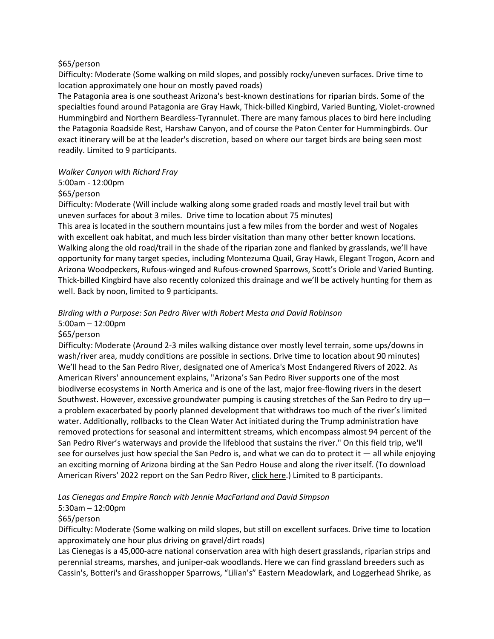#### \$65/person

Difficulty: Moderate (Some walking on mild slopes, and possibly rocky/uneven surfaces. Drive time to location approximately one hour on mostly paved roads)

The Patagonia area is one southeast Arizona's best-known destinations for riparian birds. Some of the specialties found around Patagonia are Gray Hawk, Thick-billed Kingbird, Varied Bunting, Violet-crowned Hummingbird and Northern Beardless-Tyrannulet. There are many famous places to bird here including the Patagonia Roadside Rest, Harshaw Canyon, and of course the Paton Center for Hummingbirds. Our exact itinerary will be at the leader's discretion, based on where our target birds are being seen most readily. Limited to 9 participants.

#### *Walker Canyon with Richard Fray*

### 5:00am - 12:00pm

### \$65/person

Difficulty: Moderate (Will include walking along some graded roads and mostly level trail but with uneven surfaces for about 3 miles. Drive time to location about 75 minutes)

This area is located in the southern mountains just a few miles from the border and west of Nogales with excellent oak habitat, and much less birder visitation than many other better known locations. Walking along the old road/trail in the shade of the riparian zone and flanked by grasslands, we'll have opportunity for many target species, including Montezuma Quail, Gray Hawk, Elegant Trogon, Acorn and Arizona Woodpeckers, Rufous-winged and Rufous-crowned Sparrows, Scott's Oriole and Varied Bunting. Thick-billed Kingbird have also recently colonized this drainage and we'll be actively hunting for them as well. Back by noon, limited to 9 participants.

### *Birding with a Purpose: San Pedro River with Robert Mesta and David Robinson*

### 5:00am – 12:00pm

### \$65/person

Difficulty: Moderate (Around 2-3 miles walking distance over mostly level terrain, some ups/downs in wash/river area, muddy conditions are possible in sections. Drive time to location about 90 minutes) We'll head to the San Pedro River, designated one of America's Most Endangered Rivers of 2022. As American Rivers' announcement explains, "Arizona's San Pedro River supports one of the most biodiverse ecosystems in North America and is one of the last, major free-flowing rivers in the desert Southwest. However, excessive groundwater pumping is causing stretches of the San Pedro to dry up a problem exacerbated by poorly planned development that withdraws too much of the river's limited water. Additionally, rollbacks to the Clean Water Act initiated during the Trump administration have removed protections for seasonal and intermittent streams, which encompass almost 94 percent of the San Pedro River's waterways and provide the lifeblood that sustains the river." On this field trip, we'll see for ourselves just how special the San Pedro is, and what we can do to protect it  $-$  all while enjoying an exciting morning of Arizona birding at the San Pedro House and along the river itself. (To download American Rivers' 2022 report on the San Pedro River, [click here.](https://www.americanrivers.org/wp-content/uploads/2022/04/SanPedro_MER2022_Report_Final_03302022.pdf)) Limited to 8 participants.

*Las Cienegas and Empire Ranch with Jennie MacFarland and David Simpson*

### 5:30am – 12:00pm

### \$65/person

Difficulty: Moderate (Some walking on mild slopes, but still on excellent surfaces. Drive time to location approximately one hour plus driving on gravel/dirt roads)

Las Cienegas is a 45,000-acre national conservation area with high desert grasslands, riparian strips and perennial streams, marshes, and juniper-oak woodlands. Here we can find grassland breeders such as Cassin's, Botteri's and Grasshopper Sparrows, "Lilian's" Eastern Meadowlark, and Loggerhead Shrike, as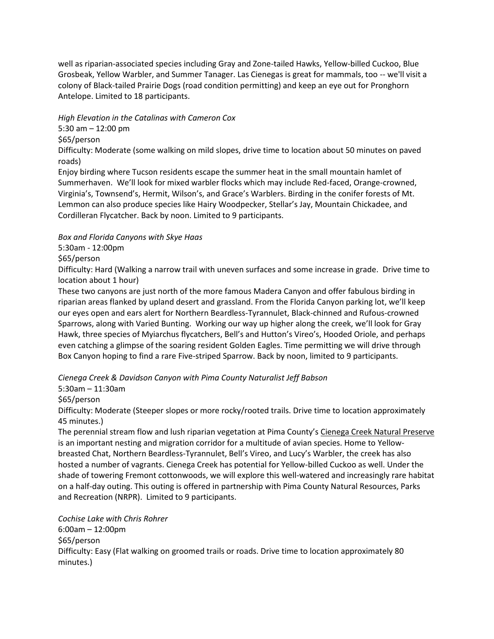well as riparian-associated species including Gray and Zone-tailed Hawks, Yellow-billed Cuckoo, Blue Grosbeak, Yellow Warbler, and Summer Tanager. Las Cienegas is great for mammals, too -- we'll visit a colony of Black-tailed Prairie Dogs (road condition permitting) and keep an eye out for Pronghorn Antelope. Limited to 18 participants.

*High Elevation in the Catalinas with Cameron Cox*

5:30 am – 12:00 pm

\$65/person

Difficulty: Moderate (some walking on mild slopes, drive time to location about 50 minutes on paved roads)

Enjoy birding where Tucson residents escape the summer heat in the small mountain hamlet of Summerhaven. We'll look for mixed warbler flocks which may include Red-faced, Orange-crowned, Virginia's, Townsend's, Hermit, Wilson's, and Grace's Warblers. Birding in the conifer forests of Mt. Lemmon can also produce species like Hairy Woodpecker, Stellar's Jay, Mountain Chickadee, and Cordilleran Flycatcher. Back by noon. Limited to 9 participants.

### *Box and Florida Canyons with Skye Haas*

5:30am - 12:00pm

### \$65/person

Difficulty: Hard (Walking a narrow trail with uneven surfaces and some increase in grade. Drive time to location about 1 hour)

These two canyons are just north of the more famous Madera Canyon and offer fabulous birding in riparian areas flanked by upland desert and grassland. From the Florida Canyon parking lot, we'll keep our eyes open and ears alert for Northern Beardless-Tyrannulet, Black-chinned and Rufous-crowned Sparrows, along with Varied Bunting. Working our way up higher along the creek, we'll look for Gray Hawk, three species of Myiarchus flycatchers, Bell's and Hutton's Vireo's, Hooded Oriole, and perhaps even catching a glimpse of the soaring resident Golden Eagles. Time permitting we will drive through Box Canyon hoping to find a rare Five-striped Sparrow. Back by noon, limited to 9 participants.

*Cienega Creek & Davidson Canyon with Pima County Naturalist Jeff Babson*

5:30am – 11:30am

\$65/person

Difficulty: Moderate (Steeper slopes or more rocky/rooted trails. Drive time to location approximately 45 minutes.)

The perennial stream flow and lush riparian vegetation at Pima County's [Cienega Creek Natural Preserve](https://webcms.pima.gov/cms/One.aspx?pageId=1515) is an important nesting and migration corridor for a multitude of avian species. Home to Yellowbreasted Chat, Northern Beardless-Tyrannulet, Bell's Vireo, and Lucy's Warbler, the creek has also hosted a number of vagrants. Cienega Creek has potential for Yellow-billed Cuckoo as well. Under the shade of towering Fremont cottonwoods, we will explore this well-watered and increasingly rare habitat on a half-day outing. This outing is offered in partnership with Pima County Natural Resources, Parks and Recreation (NRPR). Limited to 9 participants.

*Cochise Lake with Chris Rohrer* 6:00am – 12:00pm \$65/person Difficulty: Easy (Flat walking on groomed trails or roads. Drive time to location approximately 80 minutes.)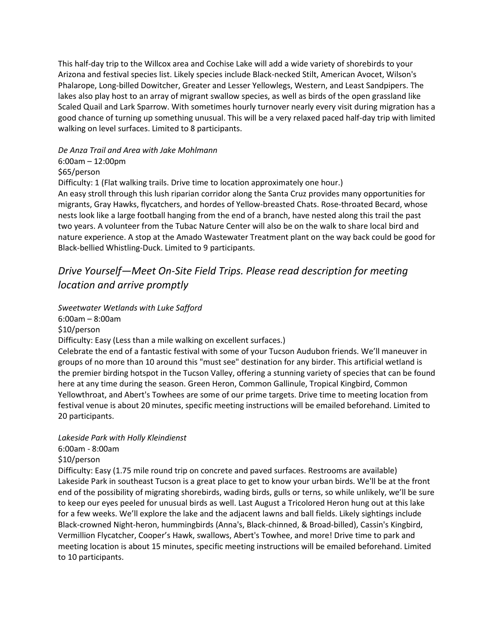This half-day trip to the Willcox area and Cochise Lake will add a wide variety of shorebirds to your Arizona and festival species list. Likely species include Black-necked Stilt, American Avocet, Wilson's Phalarope, Long-billed Dowitcher, Greater and Lesser Yellowlegs, Western, and Least Sandpipers. The lakes also play host to an array of migrant swallow species, as well as birds of the open grassland like Scaled Quail and Lark Sparrow. With sometimes hourly turnover nearly every visit during migration has a good chance of turning up something unusual. This will be a very relaxed paced half-day trip with limited walking on level surfaces. Limited to 8 participants.

### *De Anza Trail and Area with Jake Mohlmann*

 $6:00$ am  $-12:00$ pm

\$65/person

Difficulty: 1 (Flat walking trails. Drive time to location approximately one hour.) An easy stroll through this lush riparian corridor along the Santa Cruz provides many opportunities for migrants, Gray Hawks, flycatchers, and hordes of Yellow-breasted Chats. Rose-throated Becard, whose nests look like a large football hanging from the end of a branch, have nested along this trail the past two years. A volunteer from the Tubac Nature Center will also be on the walk to share local bird and nature experience. A stop at the Amado Wastewater Treatment plant on the way back could be good for Black-bellied Whistling-Duck. Limited to 9 participants.

# *Drive Yourself—Meet On-Site Field Trips. Please read description for meeting location and arrive promptly*

*Sweetwater Wetlands with Luke Safford* 6:00am – 8:00am \$10/person Difficulty: Easy (Less than a mile walking on excellent surfaces.) Celebrate the end of a fantastic festival with some of your Tucson Audubon friends. We'll maneuver in groups of no more than 10 around this "must see" destination for any birder. This artificial wetland is the premier birding hotspot in the Tucson Valley, offering a stunning variety of species that can be found

here at any time during the season. Green Heron, Common Gallinule, Tropical Kingbird, Common Yellowthroat, and Abert's Towhees are some of our prime targets. Drive time to meeting location from festival venue is about 20 minutes, specific meeting instructions will be emailed beforehand. Limited to 20 participants.

### *Lakeside Park with Holly Kleindienst*

6:00am - 8:00am

### \$10/person

Difficulty: Easy (1.75 mile round trip on concrete and paved surfaces. Restrooms are available) Lakeside Park in southeast Tucson is a great place to get to know your urban birds. We'll be at the front end of the possibility of migrating shorebirds, wading birds, gulls or terns, so while unlikely, we'll be sure to keep our eyes peeled for unusual birds as well. Last August a Tricolored Heron hung out at this lake for a few weeks. We'll explore the lake and the adjacent lawns and ball fields. Likely sightings include Black-crowned Night-heron, hummingbirds (Anna's, Black-chinned, & Broad-billed), Cassin's Kingbird, Vermillion Flycatcher, Cooper's Hawk, swallows, Abert's Towhee, and more! Drive time to park and meeting location is about 15 minutes, specific meeting instructions will be emailed beforehand. Limited to 10 participants.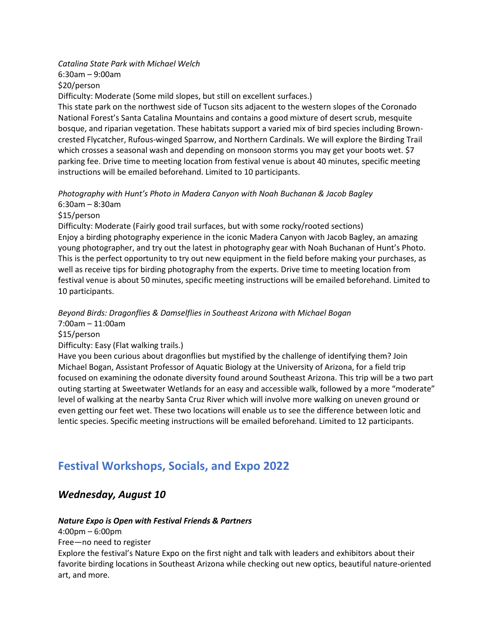*Catalina State Park with Michael Welch* 6:30am – 9:00am \$20/person

Difficulty: Moderate (Some mild slopes, but still on excellent surfaces.)

This state park on the northwest side of Tucson sits adjacent to the western slopes of the Coronado National Forest's Santa Catalina Mountains and contains a good mixture of desert scrub, mesquite bosque, and riparian vegetation. These habitats support a varied mix of bird species including Browncrested Flycatcher, Rufous-winged Sparrow, and Northern Cardinals. We will explore the Birding Trail which crosses a seasonal wash and depending on monsoon storms you may get your boots wet. \$7 parking fee. Drive time to meeting location from festival venue is about 40 minutes, specific meeting instructions will be emailed beforehand. Limited to 10 participants.

*Photography with Hunt's Photo in Madera Canyon with Noah Buchanan & Jacob Bagley*

6:30am – 8:30am \$15/person

Difficulty: Moderate (Fairly good trail surfaces, but with some rocky/rooted sections) Enjoy a birding photography experience in the iconic Madera Canyon with Jacob Bagley, an amazing young photographer, and try out the latest in photography gear with Noah Buchanan of Hunt's Photo. This is the perfect opportunity to try out new equipment in the field before making your purchases, as well as receive tips for birding photography from the experts. Drive time to meeting location from festival venue is about 50 minutes, specific meeting instructions will be emailed beforehand. Limited to 10 participants.

### *Beyond Birds: Dragonflies & Damselflies in Southeast Arizona with Michael Bogan*

7:00am – 11:00am

\$15/person

Difficulty: Easy (Flat walking trails.)

Have you been curious about dragonflies but mystified by the challenge of identifying them? Join Michael Bogan, Assistant Professor of Aquatic Biology at the University of Arizona, for a field trip focused on examining the odonate diversity found around Southeast Arizona. This trip will be a two part outing starting at Sweetwater Wetlands for an easy and accessible walk, followed by a more "moderate" level of walking at the nearby Santa Cruz River which will involve more walking on uneven ground or even getting our feet wet. These two locations will enable us to see the difference between lotic and lentic species. Specific meeting instructions will be emailed beforehand. Limited to 12 participants.

# **Festival Workshops, Socials, and Expo 2022**

## *Wednesday, August 10*

### *Nature Expo is Open with Festival Friends & Partners*

4:00pm – 6:00pm

Free—no need to register

Explore the festival's Nature Expo on the first night and talk with leaders and exhibitors about their favorite birding locations in Southeast Arizona while checking out new optics, beautiful nature-oriented art, and more.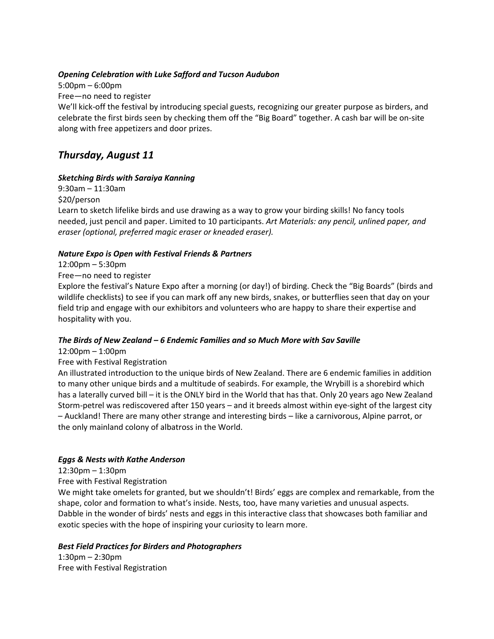### *Opening Celebration with Luke Safford and Tucson Audubon*

5:00pm – 6:00pm Free—no need to register We'll kick-off the festival by introducing special guests, recognizing our greater purpose as birders, and celebrate the first birds seen by checking them off the "Big Board" together. A cash bar will be on-site along with free appetizers and door prizes.

## *Thursday, August 11*

### *Sketching Birds with Saraiya Kanning*

9:30am – 11:30am \$20/person Learn to sketch lifelike birds and use drawing as a way to grow your birding skills! No fancy tools needed, just pencil and paper. Limited to 10 participants. *Art Materials: any pencil, unlined paper, and eraser (optional, preferred magic eraser or kneaded eraser).*

### *Nature Expo is Open with Festival Friends & Partners*

12:00pm – 5:30pm

Free—no need to register

Explore the festival's Nature Expo after a morning (or day!) of birding. Check the "Big Boards" (birds and wildlife checklists) to see if you can mark off any new birds, snakes, or butterflies seen that day on your field trip and engage with our exhibitors and volunteers who are happy to share their expertise and hospitality with you.

### *The Birds of New Zealand – 6 Endemic Families and so Much More with Sav Saville*

12:00pm – 1:00pm

### Free with Festival Registration

An illustrated introduction to the unique birds of New Zealand. There are 6 endemic families in addition to many other unique birds and a multitude of seabirds. For example, the Wrybill is a shorebird which has a laterally curved bill – it is the ONLY bird in the World that has that. Only 20 years ago New Zealand Storm-petrel was rediscovered after 150 years – and it breeds almost within eye-sight of the largest city – Auckland! There are many other strange and interesting birds – like a carnivorous, Alpine parrot, or the only mainland colony of albatross in the World.

### *Eggs & Nests with Kathe Anderson*

12:30pm – 1:30pm

Free with Festival Registration

We might take omelets for granted, but we shouldn't! Birds' eggs are complex and remarkable, from the shape, color and formation to what's inside. Nests, too, have many varieties and unusual aspects. Dabble in the wonder of birds' nests and eggs in this interactive class that showcases both familiar and exotic species with the hope of inspiring your curiosity to learn more.

### *Best Field Practices for Birders and Photographers*

1:30pm – 2:30pm Free with Festival Registration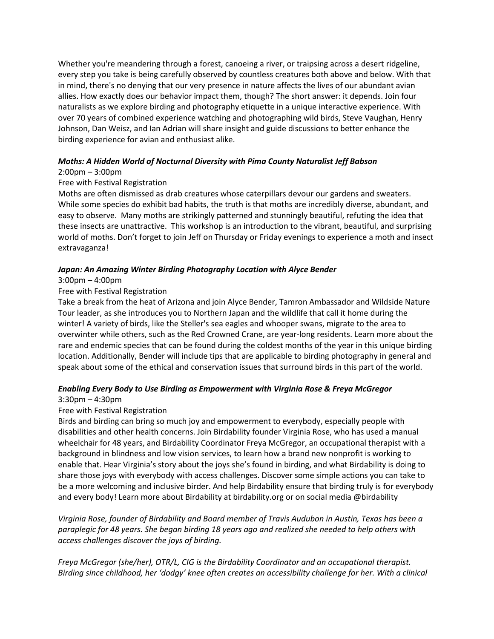Whether you're meandering through a forest, canoeing a river, or traipsing across a desert ridgeline, every step you take is being carefully observed by countless creatures both above and below. With that in mind, there's no denying that our very presence in nature affects the lives of our abundant avian allies. How exactly does our behavior impact them, though? The short answer: it depends. Join four naturalists as we explore birding and photography etiquette in a unique interactive experience. With over 70 years of combined experience watching and photographing wild birds, Steve Vaughan, Henry Johnson, Dan Weisz, and Ian Adrian will share insight and guide discussions to better enhance the birding experience for avian and enthusiast alike.

### *Moths: A Hidden World of Nocturnal Diversity with Pima County Naturalist Jeff Babson*

### 2:00pm – 3:00pm

### Free with Festival Registration

Moths are often dismissed as drab creatures whose caterpillars devour our gardens and sweaters. While some species do exhibit bad habits, the truth is that moths are incredibly diverse, abundant, and easy to observe. Many moths are strikingly patterned and stunningly beautiful, refuting the idea that these insects are unattractive. This workshop is an introduction to the vibrant, beautiful, and surprising world of moths. Don't forget to join Jeff on Thursday or Friday evenings to experience a moth and insect extravaganza!

### *Japan: An Amazing Winter Birding Photography Location with Alyce Bender*

### 3:00pm – 4:00pm

### Free with Festival Registration

Take a break from the heat of Arizona and join Alyce Bender, Tamron Ambassador and Wildside Nature Tour leader, as she introduces you to Northern Japan and the wildlife that call it home during the winter! A variety of birds, like the Steller's sea eagles and whooper swans, migrate to the area to overwinter while others, such as the Red Crowned Crane, are year-long residents. Learn more about the rare and endemic species that can be found during the coldest months of the year in this unique birding location. Additionally, Bender will include tips that are applicable to birding photography in general and speak about some of the ethical and conservation issues that surround birds in this part of the world.

### *Enabling Every Body to Use Birding as Empowerment with Virginia Rose & Freya McGregor*

### 3:30pm – 4:30pm

### Free with Festival Registration

Birds and birding can bring so much joy and empowerment to everybody, especially people with disabilities and other health concerns. Join Birdability founder Virginia Rose, who has used a manual wheelchair for 48 years, and Birdability Coordinator Freya McGregor, an occupational therapist with a background in blindness and low vision services, to learn how a brand new nonprofit is working to enable that. Hear Virginia's story about the joys she's found in birding, and what Birdability is doing to share those joys with everybody with access challenges. Discover some simple actions you can take to be a more welcoming and inclusive birder. And help Birdability ensure that birding truly is for everybody and every body! Learn more about Birdability at birdability.org or on social media @birdability

*Virginia Rose, founder of Birdability and Board member of Travis Audubon in Austin, Texas has been a paraplegic for 48 years. She began birding 18 years ago and realized she needed to help others with access challenges discover the joys of birding.*

*Freya McGregor (she/her), OTR/L, CIG is the Birdability Coordinator and an occupational therapist. Birding since childhood, her 'dodgy' knee often creates an accessibility challenge for her. With a clinical*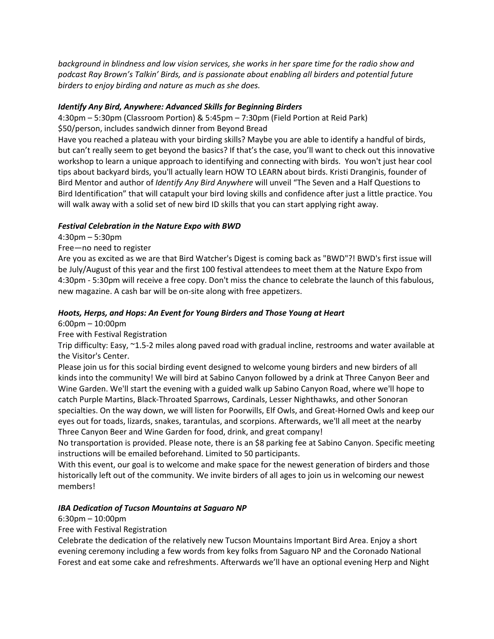*background in blindness and low vision services, she works in her spare time for the radio show and podcast Ray Brown's Talkin' Birds, and is passionate about enabling all birders and potential future birders to enjoy birding and nature as much as she does.*

### *Identify Any Bird, Anywhere: Advanced Skills for Beginning Birders*

4:30pm – 5:30pm (Classroom Portion) & 5:45pm – 7:30pm (Field Portion at Reid Park) \$50/person, includes sandwich dinner from Beyond Bread

Have you reached a plateau with your birding skills? Maybe you are able to identify a handful of birds, but can't really seem to get beyond the basics? If that's the case, you'll want to check out this innovative workshop to learn a unique approach to identifying and connecting with birds. You won't just hear cool tips about backyard birds, you'll actually learn HOW TO LEARN about birds. Kristi Dranginis, founder of Bird Mentor and author of *Identify Any Bird Anywhere* will unveil "The Seven and a Half Questions to Bird Identification" that will catapult your bird loving skills and confidence after just a little practice. You will walk away with a solid set of new bird ID skills that you can start applying right away.

### *Festival Celebration in the Nature Expo with BWD*

4:30pm – 5:30pm

### Free—no need to register

Are you as excited as we are that Bird Watcher's Digest is coming back as "BWD"?! BWD's first issue will be July/August of this year and the first 100 festival attendees to meet them at the Nature Expo from 4:30pm - 5:30pm will receive a free copy. Don't miss the chance to celebrate the launch of this fabulous, new magazine. A cash bar will be on-site along with free appetizers.

### *Hoots, Herps, and Hops: An Event for Young Birders and Those Young at Heart*

6:00pm – 10:00pm

Free with Festival Registration

Trip difficulty: Easy, ~1.5-2 miles along paved road with gradual incline, restrooms and water available at the Visitor's Center.

Please join us for this social birding event designed to welcome young birders and new birders of all kinds into the community! We will bird at Sabino Canyon followed by a drink at Three Canyon Beer and Wine Garden. We'll start the evening with a guided walk up Sabino Canyon Road, where we'll hope to catch Purple Martins, Black-Throated Sparrows, Cardinals, Lesser Nighthawks, and other Sonoran specialties. On the way down, we will listen for Poorwills, Elf Owls, and Great-Horned Owls and keep our eyes out for toads, lizards, snakes, tarantulas, and scorpions. Afterwards, we'll all meet at the nearby Three Canyon Beer and Wine Garden for food, drink, and great company!

No transportation is provided. Please note, there is an \$8 parking fee at Sabino Canyon. Specific meeting instructions will be emailed beforehand. Limited to 50 participants.

With this event, our goal is to welcome and make space for the newest generation of birders and those historically left out of the community. We invite birders of all ages to join us in welcoming our newest members!

### *IBA Dedication of Tucson Mountains at Saguaro NP*

### 6:30pm – 10:00pm

Free with Festival Registration

Celebrate the dedication of the relatively new Tucson Mountains Important Bird Area. Enjoy a short evening ceremony including a few words from key folks from Saguaro NP and the Coronado National Forest and eat some cake and refreshments. Afterwards we'll have an optional evening Herp and Night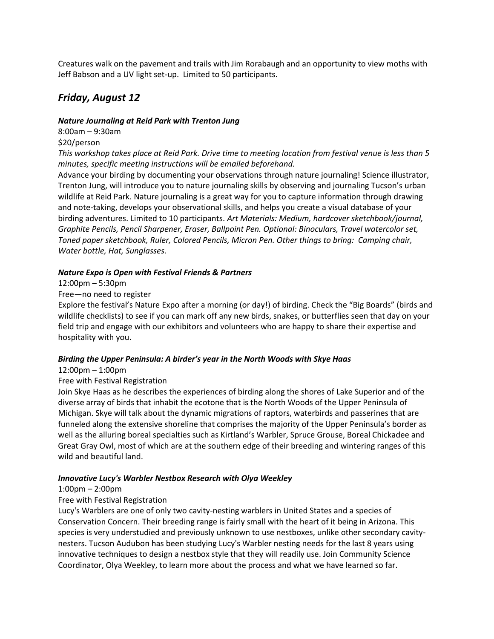Creatures walk on the pavement and trails with Jim Rorabaugh and an opportunity to view moths with Jeff Babson and a UV light set-up. Limited to 50 participants.

## *Friday, August 12*

### *Nature Journaling at Reid Park with Trenton Jung*

8:00am – 9:30am \$20/person

*This workshop takes place at Reid Park. Drive time to meeting location from festival venue is less than 5 minutes, specific meeting instructions will be emailed beforehand.*

Advance your birding by documenting your observations through nature journaling! Science illustrator, Trenton Jung, will introduce you to nature journaling skills by observing and journaling Tucson's urban wildlife at Reid Park. Nature journaling is a great way for you to capture information through drawing and note-taking, develops your observational skills, and helps you create a visual database of your birding adventures. Limited to 10 participants. *Art Materials: Medium, hardcover sketchbook/journal, Graphite Pencils, Pencil Sharpener, Eraser, Ballpoint Pen. Optional: Binoculars, Travel watercolor set, Toned paper sketchbook, Ruler, Colored Pencils, Micron Pen. Other things to bring: Camping chair, Water bottle, Hat, Sunglasses.*

### *Nature Expo is Open with Festival Friends & Partners*

12:00pm – 5:30pm

Free—no need to register

Explore the festival's Nature Expo after a morning (or day!) of birding. Check the "Big Boards" (birds and wildlife checklists) to see if you can mark off any new birds, snakes, or butterflies seen that day on your field trip and engage with our exhibitors and volunteers who are happy to share their expertise and hospitality with you.

### *Birding the Upper Peninsula: A birder's year in the North Woods with Skye Haas*

### 12:00pm – 1:00pm

### Free with Festival Registration

Join Skye Haas as he describes the experiences of birding along the shores of Lake Superior and of the diverse array of birds that inhabit the ecotone that is the North Woods of the Upper Peninsula of Michigan. Skye will talk about the dynamic migrations of raptors, waterbirds and passerines that are funneled along the extensive shoreline that comprises the majority of the Upper Peninsula's border as well as the alluring boreal specialties such as Kirtland's Warbler, Spruce Grouse, Boreal Chickadee and Great Gray Owl, most of which are at the southern edge of their breeding and wintering ranges of this wild and beautiful land.

### *Innovative Lucy's Warbler Nestbox Research with Olya Weekley*

#### 1:00pm – 2:00pm

### Free with Festival Registration

Lucy's Warblers are one of only two cavity-nesting warblers in United States and a species of Conservation Concern. Their breeding range is fairly small with the heart of it being in Arizona. This species is very understudied and previously unknown to use nestboxes, unlike other secondary cavitynesters. Tucson Audubon has been studying Lucy's Warbler nesting needs for the last 8 years using innovative techniques to design a nestbox style that they will readily use. Join Community Science Coordinator, Olya Weekley, to learn more about the process and what we have learned so far.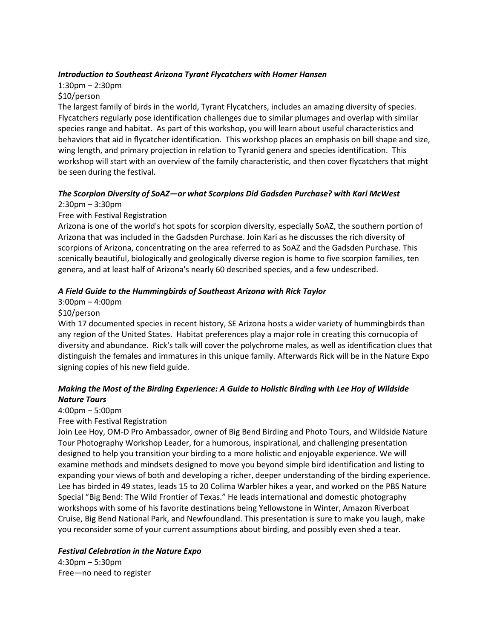### *Introduction to Southeast Arizona Tyrant Flycatchers with Homer Hansen*

## 1:30pm – 2:30pm

### \$10/person

The largest family of birds in the world, Tyrant Flycatchers, includes an amazing diversity of species. Flycatchers regularly pose identification challenges due to similar plumages and overlap with similar species range and habitat. As part of this workshop, you will learn about useful characteristics and behaviors that aid in flycatcher identification. This workshop places an emphasis on bill shape and size, wing length, and primary projection in relation to Tyranid genera and species identification. This workshop will start with an overview of the family characteristic, and then cover flycatchers that might be seen during the festival.

## *The Scorpion Diversity of SoAZ—or what Scorpions Did Gadsden Purchase? with Kari McWest*

### 2:30pm – 3:30pm

### Free with Festival Registration

Arizona is one of the world's hot spots for scorpion diversity, especially SoAZ, the southern portion of Arizona that was included in the Gadsden Purchase. Join Kari as he discusses the rich diversity of scorpions of Arizona, concentrating on the area referred to as SoAZ and the Gadsden Purchase. This scenically beautiful, biologically and geologically diverse region is home to five scorpion families, ten genera, and at least half of Arizona's nearly 60 described species, and a few undescribed.

### *A Field Guide to the Hummingbirds of Southeast Arizona with Rick Taylor*

### 3:00pm – 4:00pm

### \$10/person

With 17 documented species in recent history, SE Arizona hosts a wider variety of hummingbirds than any region of the United States. Habitat preferences play a major role in creating this cornucopia of diversity and abundance. Rick's talk will cover the polychrome males, as well as identification clues that distinguish the females and immatures in this unique family. Afterwards Rick will be in the Nature Expo signing copies of his new field guide.

### *Making the Most of the Birding Experience: A Guide to Holistic Birding with Lee Hoy of Wildside Nature Tours*

### 4:00pm – 5:00pm

### Free with Festival Registration

Join Lee Hoy, OM-D Pro Ambassador, owner of Big Bend Birding and Photo Tours, and Wildside Nature Tour Photography Workshop Leader, for a humorous, inspirational, and challenging presentation designed to help you transition your birding to a more holistic and enjoyable experience. We will examine methods and mindsets designed to move you beyond simple bird identification and listing to expanding your views of both and developing a richer, deeper understanding of the birding experience. Lee has birded in 49 states, leads 15 to 20 Colima Warbler hikes a year, and worked on the PBS Nature Special "Big Bend: The Wild Frontier of Texas." He leads international and domestic photography workshops with some of his favorite destinations being Yellowstone in Winter, Amazon Riverboat Cruise, Big Bend National Park, and Newfoundland. This presentation is sure to make you laugh, make you reconsider some of your current assumptions about birding, and possibly even shed a tear.

### *Festival Celebration in the Nature Expo*

4:30pm – 5:30pm Free—no need to register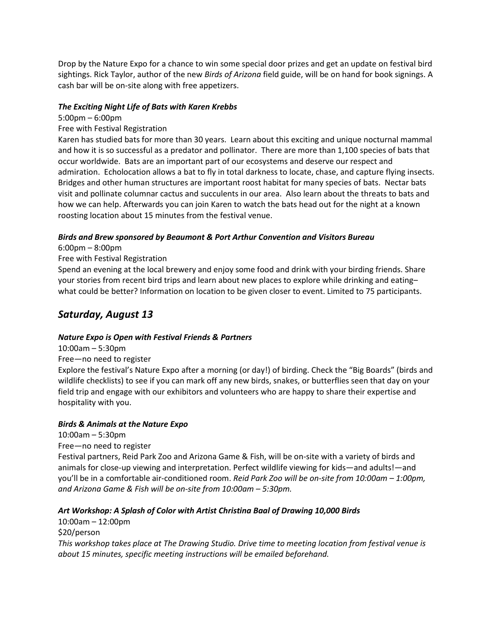Drop by the Nature Expo for a chance to win some special door prizes and get an update on festival bird sightings. Rick Taylor, author of the new *Birds of Arizona* field guide, will be on hand for book signings. A cash bar will be on-site along with free appetizers.

### *The Exciting Night Life of Bats with Karen Krebbs*

### 5:00pm – 6:00pm

### Free with Festival Registration

Karen has studied bats for more than 30 years. Learn about this exciting and unique nocturnal mammal and how it is so successful as a predator and pollinator. There are more than 1,100 species of bats that occur worldwide. Bats are an important part of our ecosystems and deserve our respect and admiration. Echolocation allows a bat to fly in total darkness to locate, chase, and capture flying insects. Bridges and other human structures are important roost habitat for many species of bats. Nectar bats visit and pollinate columnar cactus and succulents in our area. Also learn about the threats to bats and how we can help. Afterwards you can join Karen to watch the bats head out for the night at a known roosting location about 15 minutes from the festival venue.

### *Birds and Brew sponsored by Beaumont & Port Arthur Convention and Visitors Bureau*

6:00pm – 8:00pm

### Free with Festival Registration

Spend an evening at the local brewery and enjoy some food and drink with your birding friends. Share your stories from recent bird trips and learn about new places to explore while drinking and eating– what could be better? Information on location to be given closer to event. Limited to 75 participants.

## *Saturday, August 13*

### *Nature Expo is Open with Festival Friends & Partners*

10:00am – 5:30pm

### Free—no need to register

Explore the festival's Nature Expo after a morning (or day!) of birding. Check the "Big Boards" (birds and wildlife checklists) to see if you can mark off any new birds, snakes, or butterflies seen that day on your field trip and engage with our exhibitors and volunteers who are happy to share their expertise and hospitality with you.

### *Birds & Animals at the Nature Expo*

10:00am – 5:30pm Free—no need to register Festival partners, Reid Park Zoo and Arizona Game & Fish, will be on-site with a variety of birds and animals for close-up viewing and interpretation. Perfect wildlife viewing for kids—and adults!—and you'll be in a comfortable air-conditioned room. *Reid Park Zoo will be on-site from 10:00am – 1:00pm, and Arizona Game & Fish will be on-site from 10:00am – 5:30pm.*

### *Art Workshop: A Splash of Color with Artist Christina Baal of Drawing 10,000 Birds*

10:00am – 12:00pm \$20/person *This workshop takes place at The Drawing Studio. Drive time to meeting location from festival venue is about 15 minutes, specific meeting instructions will be emailed beforehand.*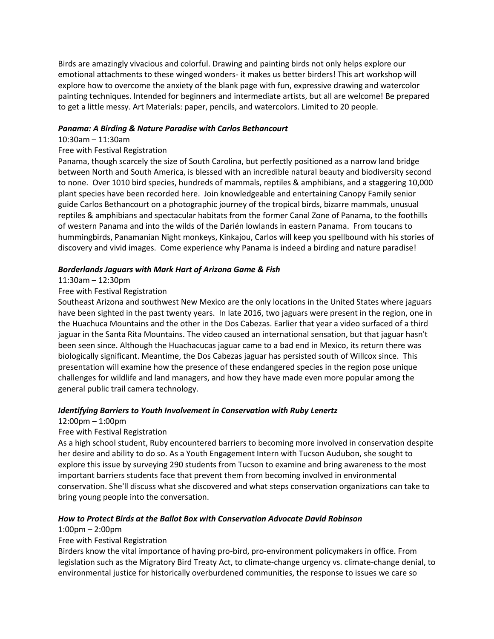Birds are amazingly vivacious and colorful. Drawing and painting birds not only helps explore our emotional attachments to these winged wonders- it makes us better birders! This art workshop will explore how to overcome the anxiety of the blank page with fun, expressive drawing and watercolor painting techniques. Intended for beginners and intermediate artists, but all are welcome! Be prepared to get a little messy. Art Materials: paper, pencils, and watercolors. Limited to 20 people.

### *Panama: A Birding & Nature Paradise with Carlos Bethancourt*

### 10:30am – 11:30am

### Free with Festival Registration

Panama, though scarcely the size of South Carolina, but perfectly positioned as a narrow land bridge between North and South America, is blessed with an incredible natural beauty and biodiversity second to none. Over 1010 bird species, hundreds of mammals, reptiles & amphibians, and a staggering 10,000 plant species have been recorded here. Join knowledgeable and entertaining Canopy Family senior guide Carlos Bethancourt on a photographic journey of the tropical birds, bizarre mammals, unusual reptiles & amphibians and spectacular habitats from the former Canal Zone of Panama, to the foothills of western Panama and into the wilds of the Darién lowlands in eastern Panama. From toucans to hummingbirds, Panamanian Night monkeys, Kinkajou, Carlos will keep you spellbound with his stories of discovery and vivid images. Come experience why Panama is indeed a birding and nature paradise!

### *Borderlands Jaguars with Mark Hart of Arizona Game & Fish*

### 11:30am – 12:30pm

### Free with Festival Registration

Southeast Arizona and southwest New Mexico are the only locations in the United States where jaguars have been sighted in the past twenty years. In late 2016, two jaguars were present in the region, one in the Huachuca Mountains and the other in the Dos Cabezas. Earlier that year a video surfaced of a third jaguar in the Santa Rita Mountains. The video caused an international sensation, but that jaguar hasn't been seen since. Although the Huachacucas jaguar came to a bad end in Mexico, its return there was biologically significant. Meantime, the Dos Cabezas jaguar has persisted south of Willcox since. This presentation will examine how the presence of these endangered species in the region pose unique challenges for wildlife and land managers, and how they have made even more popular among the general public trail camera technology.

#### *Identifying Barriers to Youth Involvement in Conservation with Ruby Lenertz*

#### 12:00pm – 1:00pm

### Free with Festival Registration

As a high school student, Ruby encountered barriers to becoming more involved in conservation despite her desire and ability to do so. As a Youth Engagement Intern with Tucson Audubon, she sought to explore this issue by surveying 290 students from Tucson to examine and bring awareness to the most important barriers students face that prevent them from becoming involved in environmental conservation. She'll discuss what she discovered and what steps conservation organizations can take to bring young people into the conversation.

### *How to Protect Birds at the Ballot Box with Conservation Advocate David Robinson*

#### 1:00pm – 2:00pm

#### Free with Festival Registration

Birders know the vital importance of having pro-bird, pro-environment policymakers in office. From legislation such as the Migratory Bird Treaty Act, to climate-change urgency vs. climate-change denial, to environmental justice for historically overburdened communities, the response to issues we care so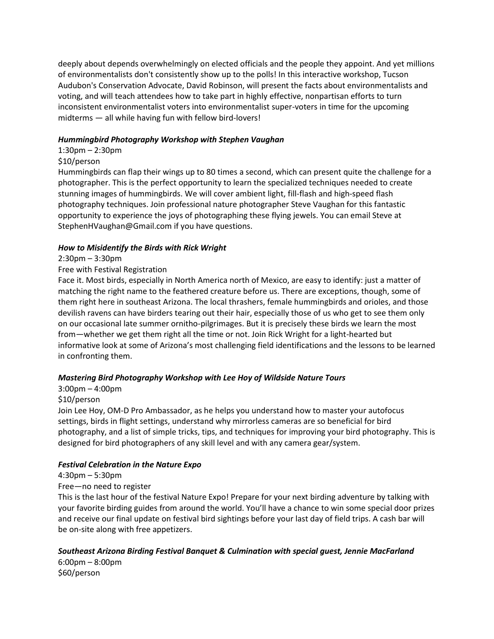deeply about depends overwhelmingly on elected officials and the people they appoint. And yet millions of environmentalists don't consistently show up to the polls! In this interactive workshop, Tucson Audubon's Conservation Advocate, David Robinson, will present the facts about environmentalists and voting, and will teach attendees how to take part in highly effective, nonpartisan efforts to turn inconsistent environmentalist voters into environmentalist super-voters in time for the upcoming midterms — all while having fun with fellow bird-lovers!

### *Hummingbird Photography Workshop with Stephen Vaughan*

### 1:30pm – 2:30pm

### \$10/person

Hummingbirds can flap their wings up to 80 times a second, which can present quite the challenge for a photographer. This is the perfect opportunity to learn the specialized techniques needed to create stunning images of hummingbirds. We will cover ambient light, fill-flash and high-speed flash photography techniques. Join professional nature photographer Steve Vaughan for this fantastic opportunity to experience the joys of photographing these flying jewels. You can email Steve at StephenHVaughan@Gmail.com if you have questions.

### *How to Misidentify the Birds with Rick Wright*

### 2:30pm – 3:30pm

### Free with Festival Registration

Face it. Most birds, especially in North America north of Mexico, are easy to identify: just a matter of matching the right name to the feathered creature before us. There are exceptions, though, some of them right here in southeast Arizona. The local thrashers, female hummingbirds and orioles, and those devilish ravens can have birders tearing out their hair, especially those of us who get to see them only on our occasional late summer ornitho-pilgrimages. But it is precisely these birds we learn the most from—whether we get them right all the time or not. Join Rick Wright for a light-hearted but informative look at some of Arizona's most challenging field identifications and the lessons to be learned in confronting them.

### *Mastering Bird Photography Workshop with Lee Hoy of Wildside Nature Tours*

### 3:00pm – 4:00pm

### \$10/person

Join Lee Hoy, OM-D Pro Ambassador, as he helps you understand how to master your autofocus settings, birds in flight settings, understand why mirrorless cameras are so beneficial for bird photography, and a list of simple tricks, tips, and techniques for improving your bird photography. This is designed for bird photographers of any skill level and with any camera gear/system.

### *Festival Celebration in the Nature Expo*

### 4:30pm – 5:30pm

### Free—no need to register

This is the last hour of the festival Nature Expo! Prepare for your next birding adventure by talking with your favorite birding guides from around the world. You'll have a chance to win some special door prizes and receive our final update on festival bird sightings before your last day of field trips. A cash bar will be on-site along with free appetizers.

### *Southeast Arizona Birding Festival Banquet & Culmination with special guest, Jennie MacFarland*

6:00pm – 8:00pm \$60/person